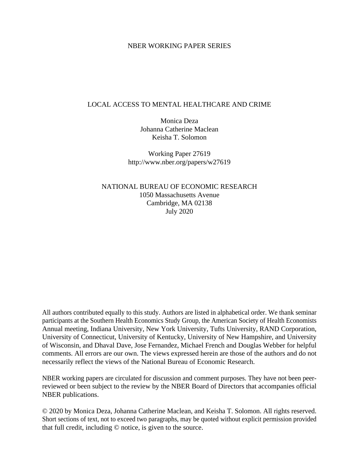#### NBER WORKING PAPER SERIES

#### LOCAL ACCESS TO MENTAL HEALTHCARE AND CRIME

Monica Deza Johanna Catherine Maclean Keisha T. Solomon

Working Paper 27619 http://www.nber.org/papers/w27619

NATIONAL BUREAU OF ECONOMIC RESEARCH 1050 Massachusetts Avenue Cambridge, MA 02138 July 2020

All authors contributed equally to this study. Authors are listed in alphabetical order. We thank seminar participants at the Southern Health Economics Study Group, the American Society of Health Economists Annual meeting, Indiana University, New York University, Tufts University, RAND Corporation, University of Connecticut, University of Kentucky, University of New Hampshire, and University of Wisconsin, and Dhaval Dave, Jose Fernandez, Michael French and Douglas Webber for helpful comments. All errors are our own. The views expressed herein are those of the authors and do not necessarily reflect the views of the National Bureau of Economic Research.

NBER working papers are circulated for discussion and comment purposes. They have not been peerreviewed or been subject to the review by the NBER Board of Directors that accompanies official NBER publications.

© 2020 by Monica Deza, Johanna Catherine Maclean, and Keisha T. Solomon. All rights reserved. Short sections of text, not to exceed two paragraphs, may be quoted without explicit permission provided that full credit, including © notice, is given to the source.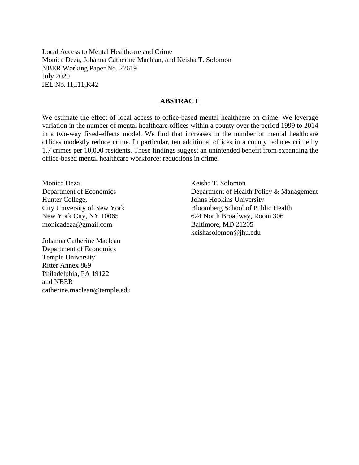Local Access to Mental Healthcare and Crime Monica Deza, Johanna Catherine Maclean, and Keisha T. Solomon NBER Working Paper No. 27619 July 2020 JEL No. I1,I11,K42

#### **ABSTRACT**

We estimate the effect of local access to office-based mental healthcare on crime. We leverage variation in the number of mental healthcare offices within a county over the period 1999 to 2014 in a two-way fixed-effects model. We find that increases in the number of mental healthcare offices modestly reduce crime. In particular, ten additional offices in a county reduces crime by 1.7 crimes per 10,000 residents. These findings suggest an unintended benefit from expanding the office-based mental healthcare workforce: reductions in crime.

Monica Deza Department of Economics Hunter College, City University of New York New York City, NY 10065 monicadeza@gmail.com

Johanna Catherine Maclean Department of Economics Temple University Ritter Annex 869 Philadelphia, PA 19122 and NBER catherine.maclean@temple.edu

Keisha T. Solomon Department of Health Policy & Management Johns Hopkins University Bloomberg School of Public Health 624 North Broadway, Room 306 Baltimore, MD 21205 keishasolomon@jhu.edu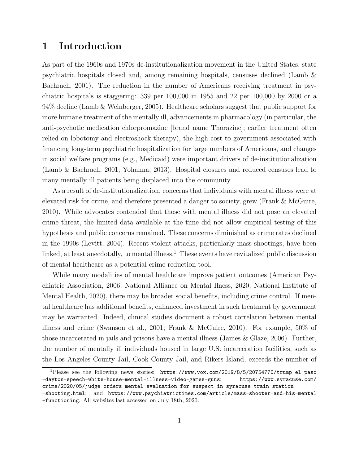# 1 Introduction

As part of the 1960s and 1970s de-institutionalization movement in the United States, state psychiatric hospitals closed and, among remaining hospitals, censuses declined (Lamb & Bachrach, 2001). The reduction in the number of Americans receiving treatment in psychiatric hospitals is staggering: 339 per 100,000 in 1955 and 22 per 100,000 by 2000 or a 94% decline (Lamb & Weinberger, 2005). Healthcare scholars suggest that public support for more humane treatment of the mentally ill, advancements in pharmacology (in particular, the anti-psychotic medication chlorpromazine [brand name Thorazine]; earlier treatment often relied on lobotomy and electroshock therapy), the high cost to government associated with financing long-term psychiatric hospitalization for large numbers of Americans, and changes in social welfare programs (e.g., Medicaid) were important drivers of de-institutionalization (Lamb & Bachrach, 2001; Yohanna, 2013). Hospital closures and reduced censuses lead to many mentally ill patients being displaced into the community.

As a result of de-institutionalization, concerns that individuals with mental illness were at elevated risk for crime, and therefore presented a danger to society, grew (Frank & McGuire, 2010). While advocates contended that those with mental illness did not pose an elevated crime threat, the limited data available at the time did not allow empirical testing of this hypothesis and public concerns remained. These concerns diminished as crime rates declined in the 1990s (Levitt, 2004). Recent violent attacks, particularly mass shootings, have been linked, at least anecdotally, to mental illness.<sup>1</sup> These events have revitalized public discussion of mental healthcare as a potential crime reduction tool.

While many modalities of mental healthcare improve patient outcomes (American Psychiatric Association, 2006; National Alliance on Mental Ilness, 2020; National Institute of Mental Health, 2020), there may be broader social benefits, including crime control. If mental healthcare has additional benefits, enhanced investment in such treatment by government may be warranted. Indeed, clinical studies document a robust correlation between mental illness and crime (Swanson et al., 2001; Frank & McGuire, 2010). For example, 50% of those incarcerated in jails and prisons have a mental illness (James & Glaze, 2006). Further, the number of mentally ill individuals housed in large U.S. incarceration facilities, such as the Los Angeles County Jail, Cook County Jail, and Rikers Island, exceeds the number of

<sup>1</sup>Please see the following news stories: https://www.vox.com/2019/8/5/20754770/trump-el-paso -dayton-speech-white-house-mental-illness-video-games-guns; https://www.syracuse.com/ crime/2020/05/judge-orders-mental-evaluation-for-suspect-in-syracuse-train-station

<sup>-</sup>shooting.html; and https://www.psychiatrictimes.com/article/mass-shooter-and-his-mental -functioning. All websites last accessed on July 18th, 2020.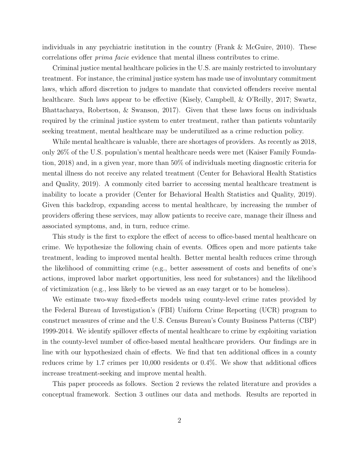individuals in any psychiatric institution in the country (Frank & McGuire, 2010). These correlations offer prima facie evidence that mental illness contributes to crime.

Criminal justice mental healthcare policies in the U.S. are mainly restricted to involuntary treatment. For instance, the criminal justice system has made use of involuntary commitment laws, which afford discretion to judges to mandate that convicted offenders receive mental healthcare. Such laws appear to be effective (Kisely, Campbell, & O'Reilly, 2017; Swartz, Bhattacharya, Robertson, & Swanson, 2017). Given that these laws focus on individuals required by the criminal justice system to enter treatment, rather than patients voluntarily seeking treatment, mental healthcare may be underutilized as a crime reduction policy.

While mental healthcare is valuable, there are shortages of providers. As recently as 2018, only 26% of the U.S. population's mental healthcare needs were met (Kaiser Family Foundation, 2018) and, in a given year, more than 50% of individuals meeting diagnostic criteria for mental illness do not receive any related treatment (Center for Behavioral Health Statistics and Quality, 2019). A commonly cited barrier to accessing mental healthcare treatment is inability to locate a provider (Center for Behavioral Health Statistics and Quality, 2019). Given this backdrop, expanding access to mental healthcare, by increasing the number of providers offering these services, may allow patients to receive care, manage their illness and associated symptoms, and, in turn, reduce crime.

This study is the first to explore the effect of access to office-based mental healthcare on crime. We hypothesize the following chain of events. Offices open and more patients take treatment, leading to improved mental health. Better mental health reduces crime through the likelihood of committing crime (e.g., better assessment of costs and benefits of one's actions, improved labor market opportunities, less need for substances) and the likelihood of victimization (e.g., less likely to be viewed as an easy target or to be homeless).

We estimate two-way fixed-effects models using county-level crime rates provided by the Federal Bureau of Investigation's (FBI) Uniform Crime Reporting (UCR) program to construct measures of crime and the U.S. Census Bureau's County Business Patterns (CBP) 1999-2014. We identify spillover effects of mental healthcare to crime by exploiting variation in the county-level number of office-based mental healthcare providers. Our findings are in line with our hypothesized chain of effects. We find that ten additional offices in a county reduces crime by 1.7 crimes per 10,000 residents or 0.4%. We show that additional offices increase treatment-seeking and improve mental health.

This paper proceeds as follows. Section 2 reviews the related literature and provides a conceptual framework. Section 3 outlines our data and methods. Results are reported in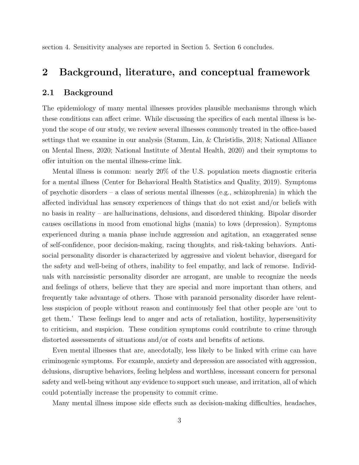section 4. Sensitivity analyses are reported in Section 5. Section 6 concludes.

## 2 Background, literature, and conceptual framework

### 2.1 Background

The epidemiology of many mental illnesses provides plausible mechanisms through which these conditions can affect crime. While discussing the specifics of each mental illness is beyond the scope of our study, we review several illnesses commonly treated in the office-based settings that we examine in our analysis (Stamm, Lin, & Christidis, 2018; National Alliance on Mental Ilness, 2020; National Institute of Mental Health, 2020) and their symptoms to offer intuition on the mental illness-crime link.

Mental illness is common: nearly 20% of the U.S. population meets diagnostic criteria for a mental illness (Center for Behavioral Health Statistics and Quality, 2019). Symptoms of psychotic disorders – a class of serious mental illnesses (e.g., schizophrenia) in which the affected individual has sensory experiences of things that do not exist and/or beliefs with no basis in reality – are hallucinations, delusions, and disordered thinking. Bipolar disorder causes oscillations in mood from emotional highs (mania) to lows (depression). Symptoms experienced during a mania phase include aggression and agitation, an exaggerated sense of self-confidence, poor decision-making, racing thoughts, and risk-taking behaviors. Antisocial personality disorder is characterized by aggressive and violent behavior, disregard for the safety and well-being of others, inability to feel empathy, and lack of remorse. Individuals with narcissistic personality disorder are arrogant, are unable to recognize the needs and feelings of others, believe that they are special and more important than others, and frequently take advantage of others. Those with paranoid personality disorder have relentless suspicion of people without reason and continuously feel that other people are 'out to get them.' These feelings lead to anger and acts of retaliation, hostility, hypersensitivity to criticism, and suspicion. These condition symptoms could contribute to crime through distorted assessments of situations and/or of costs and benefits of actions.

Even mental illnesses that are, anecdotally, less likely to be linked with crime can have criminogenic symptoms. For example, anxiety and depression are associated with aggression, delusions, disruptive behaviors, feeling helpless and worthless, incessant concern for personal safety and well-being without any evidence to support such unease, and irritation, all of which could potentially increase the propensity to commit crime.

Many mental illness impose side effects such as decision-making difficulties, headaches,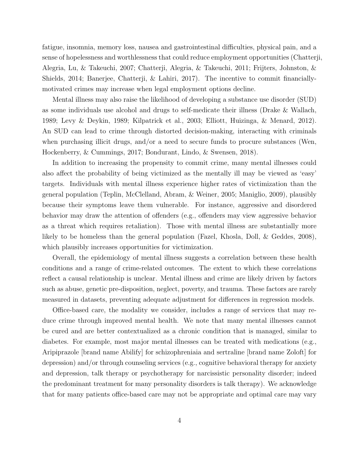fatigue, insomnia, memory loss, nausea and gastrointestinal difficulties, physical pain, and a sense of hopelessness and worthlessness that could reduce employment opportunities (Chatterji, Alegria, Lu, & Takeuchi, 2007; Chatterji, Alegria, & Takeuchi, 2011; Frijters, Johnston, & Shields, 2014; Banerjee, Chatterji, & Lahiri, 2017). The incentive to commit financiallymotivated crimes may increase when legal employment options decline.

Mental illness may also raise the likelihood of developing a substance use disorder (SUD) as some individuals use alcohol and drugs to self-medicate their illness (Drake & Wallach, 1989; Levy & Deykin, 1989; Kilpatrick et al., 2003; Elliott, Huizinga, & Menard, 2012). An SUD can lead to crime through distorted decision-making, interacting with criminals when purchasing illicit drugs, and/or a need to secure funds to procure substances (Wen, Hockenberry, & Cummings, 2017; Bondurant, Lindo, & Swensen, 2018).

In addition to increasing the propensity to commit crime, many mental illnesses could also affect the probability of being victimized as the mentally ill may be viewed as 'easy' targets. Individuals with mental illness experience higher rates of victimization than the general population (Teplin, McClelland, Abram, & Weiner, 2005; Maniglio, 2009), plausibly because their symptoms leave them vulnerable. For instance, aggressive and disordered behavior may draw the attention of offenders (e.g., offenders may view aggressive behavior as a threat which requires retaliation). Those with mental illness are substantially more likely to be homeless than the general population (Fazel, Khosla, Doll, & Geddes, 2008), which plausibly increases opportunities for victimization.

Overall, the epidemiology of mental illness suggests a correlation between these health conditions and a range of crime-related outcomes. The extent to which these correlations reflect a causal relationship is unclear. Mental illness and crime are likely driven by factors such as abuse, genetic pre-disposition, neglect, poverty, and trauma. These factors are rarely measured in datasets, preventing adequate adjustment for differences in regression models.

Office-based care, the modality we consider, includes a range of services that may reduce crime through improved mental health. We note that many mental illnesses cannot be cured and are better contextualized as a chronic condition that is managed, similar to diabetes. For example, most major mental illnesses can be treated with medications (e.g., Aripiprazole [brand name Abilify] for schizophreniaia and sertraline [brand name Zoloft] for depression) and/or through counseling services (e.g., cognitive behavioral therapy for anxiety and depression, talk therapy or psychotherapy for narcissistic personality disorder; indeed the predominant treatment for many personality disorders is talk therapy). We acknowledge that for many patients office-based care may not be appropriate and optimal care may vary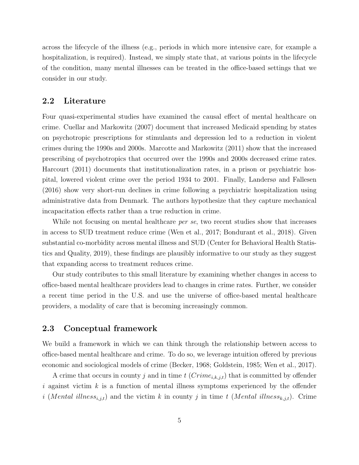across the lifecycle of the illness (e.g., periods in which more intensive care, for example a hospitalization, is required). Instead, we simply state that, at various points in the lifecycle of the condition, many mental illnesses can be treated in the office-based settings that we consider in our study.

#### 2.2 Literature

Four quasi-experimental studies have examined the causal effect of mental healthcare on crime. Cuellar and Markowitz (2007) document that increased Medicaid spending by states on psychotropic prescriptions for stimulants and depression led to a reduction in violent crimes during the 1990s and 2000s. Marcotte and Markowitz (2011) show that the increased prescribing of psychotropics that occurred over the 1990s and 2000s decreased crime rates. Harcourt (2011) documents that institutionalization rates, in a prison or psychiatric hospital, lowered violent crime over the period 1934 to 2001. Finally, Landersø and Fallesen (2016) show very short-run declines in crime following a psychiatric hospitalization using administrative data from Denmark. The authors hypothesize that they capture mechanical incapacitation effects rather than a true reduction in crime.

While not focusing on mental healthcare *per se*, two recent studies show that increases in access to SUD treatment reduce crime (Wen et al., 2017; Bondurant et al., 2018). Given substantial co-morbidity across mental illness and SUD (Center for Behavioral Health Statistics and Quality, 2019), these findings are plausibly informative to our study as they suggest that expanding access to treatment reduces crime.

Our study contributes to this small literature by examining whether changes in access to office-based mental healthcare providers lead to changes in crime rates. Further, we consider a recent time period in the U.S. and use the universe of office-based mental healthcare providers, a modality of care that is becoming increasingly common.

### 2.3 Conceptual framework

We build a framework in which we can think through the relationship between access to office-based mental healthcare and crime. To do so, we leverage intuition offered by previous economic and sociological models of crime (Becker, 1968; Goldstein, 1985; Wen et al., 2017).

A crime that occurs in county j and in time  $t$  ( $Crime_{i,k,j,t}$ ) that is committed by offender i against victim k is a function of mental illness symptoms experienced by the offender i (Mental illness<sub>i,j,t</sub>) and the victim k in county j in time t (Mental illness<sub>k,j,t</sub>). Crime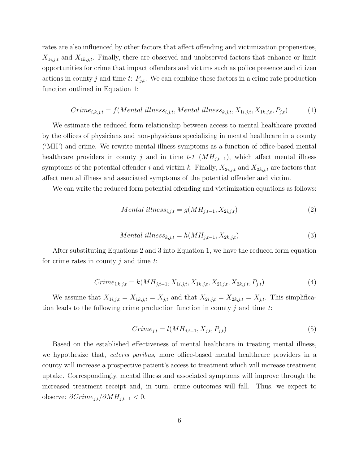rates are also influenced by other factors that affect offending and victimization propensities,  $X_{1i,j,t}$  and  $X_{1k,j,t}$ . Finally, there are observed and unobserved factors that enhance or limit opportunities for crime that impact offenders and victims such as police presence and citizen actions in county j and time t:  $P_{j,t}$ . We can combine these factors in a crime rate production function outlined in Equation 1:

$$
Crime_{i,k,j,t} = f(Mental \text{ illness}_{i,j,t},Mental \text{ illness}_{k,j,t}, X_{1i,j,t}, X_{1k,j,t}, P_{j,t})
$$
 (1)

We estimate the reduced form relationship between access to mental healthcare proxied by the offices of physicians and non-physicians specializing in mental healthcare in a county ('MH') and crime. We rewrite mental illness symptoms as a function of office-based mental healthcare providers in county j and in time t-1  $(MH_{j,t-1})$ , which affect mental illness symptoms of the potential offender i and victim k. Finally,  $X_{2i,j,t}$  and  $X_{2k,j,t}$  are factors that affect mental illness and associated symptoms of the potential offender and victim.

We can write the reduced form potential offending and victimization equations as follows:

$$
Mental \ illness_{i,j,t} = g(MH_{j,t-1}, X_{2i,j,t})
$$
\n<sup>(2)</sup>

$$
Mental\ illness_{k,j,t} = h(MH_{j,t-1}, X_{2k,j,t})\tag{3}
$$

After substituting Equations 2 and 3 into Equation 1, we have the reduced form equation for crime rates in county  $j$  and time  $t$ :

$$
Crime_{i,k,j,t} = k(MH_{j,t-1}, X_{1i,j,t}, X_{1k,j,t}, X_{2i,j,t}, X_{2k,j,t}, P_{j,t})
$$
\n
$$
(4)
$$

We assume that  $X_{1i,j,t} = X_{1k,j,t} = X_{j,t}$  and that  $X_{2i,j,t} = X_{2k,j,t} = X_{j,t}$ . This simplification leads to the following crime production function in county  $j$  and time  $t$ :

$$
Crime_{j,t} = l(MH_{j,t-1}, X_{j,t}, P_{j,t})
$$
\n
$$
(5)
$$

Based on the established effectiveness of mental healthcare in treating mental illness, we hypothesize that, *ceteris paribus*, more office-based mental healthcare providers in a county will increase a prospective patient's access to treatment which will increase treatment uptake. Correspondingly, mental illness and associated symptoms will improve through the increased treatment receipt and, in turn, crime outcomes will fall. Thus, we expect to observe:  $\partial C$ rime<sub>j,t</sub>/ $\partial M H_{j,t-1} < 0$ .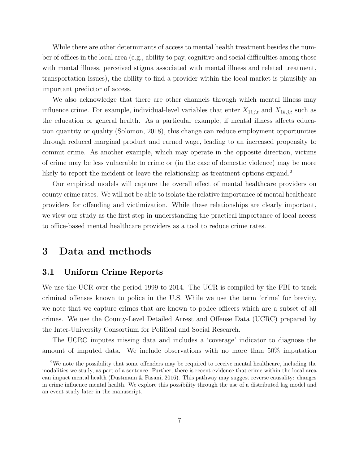While there are other determinants of access to mental health treatment besides the number of offices in the local area (e.g., ability to pay, cognitive and social difficulties among those with mental illness, perceived stigma associated with mental illness and related treatment, transportation issues), the ability to find a provider within the local market is plausibly an important predictor of access.

We also acknowledge that there are other channels through which mental illness may influence crime. For example, individual-level variables that enter  $X_{1i,j,t}$  and  $X_{1k,j,t}$  such as the education or general health. As a particular example, if mental illness affects education quantity or quality (Solomon, 2018), this change can reduce employment opportunities through reduced marginal product and earned wage, leading to an increased propensity to commit crime. As another example, which may operate in the opposite direction, victims of crime may be less vulnerable to crime or (in the case of domestic violence) may be more likely to report the incident or leave the relationship as treatment options expand.<sup>2</sup>

Our empirical models will capture the overall effect of mental healthcare providers on county crime rates. We will not be able to isolate the relative importance of mental healthcare providers for offending and victimization. While these relationships are clearly important, we view our study as the first step in understanding the practical importance of local access to office-based mental healthcare providers as a tool to reduce crime rates.

## 3 Data and methods

### 3.1 Uniform Crime Reports

We use the UCR over the period 1999 to 2014. The UCR is compiled by the FBI to track criminal offenses known to police in the U.S. While we use the term 'crime' for brevity, we note that we capture crimes that are known to police officers which are a subset of all crimes. We use the County-Level Detailed Arrest and Offense Data (UCRC) prepared by the Inter-University Consortium for Political and Social Research.

The UCRC imputes missing data and includes a 'coverage' indicator to diagnose the amount of imputed data. We include observations with no more than 50% imputation

<sup>&</sup>lt;sup>2</sup>We note the possibility that some offenders may be required to receive mental healthcare, including the modalities we study, as part of a sentence. Further, there is recent evidence that crime within the local area can impact mental health (Dustmann & Fasani, 2016). This pathway may suggest reverse causality: changes in crime influence mental health. We explore this possibility through the use of a distributed lag model and an event study later in the manuscript.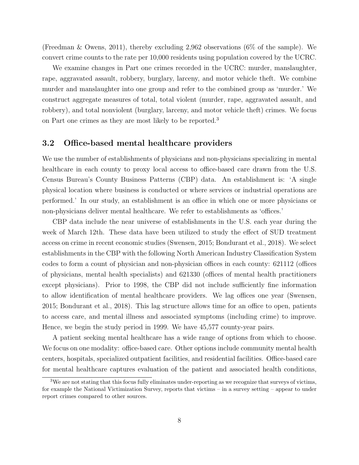(Freedman & Owens, 2011), thereby excluding 2,962 observations (6% of the sample). We convert crime counts to the rate per 10,000 residents using population covered by the UCRC.

We examine changes in Part one crimes recorded in the UCRC: murder, manslaughter, rape, aggravated assault, robbery, burglary, larceny, and motor vehicle theft. We combine murder and manslaughter into one group and refer to the combined group as 'murder.' We construct aggregate measures of total, total violent (murder, rape, aggravated assault, and robbery), and total nonviolent (burglary, larceny, and motor vehicle theft) crimes. We focus on Part one crimes as they are most likely to be reported.<sup>3</sup>

### 3.2 Office-based mental healthcare providers

We use the number of establishments of physicians and non-physicians specializing in mental healthcare in each county to proxy local access to office-based care drawn from the U.S. Census Bureau's County Business Patterns (CBP) data. An establishment is: 'A single physical location where business is conducted or where services or industrial operations are performed.' In our study, an establishment is an office in which one or more physicians or non-physicians deliver mental healthcare. We refer to establishments as 'offices.'

CBP data include the near universe of establishments in the U.S. each year during the week of March 12th. These data have been utilized to study the effect of SUD treatment access on crime in recent economic studies (Swensen, 2015; Bondurant et al., 2018). We select establishments in the CBP with the following North American Industry Classification System codes to form a count of physician and non-physician offices in each county: 621112 (offices of physicians, mental health specialists) and 621330 (offices of mental health practitioners except physicians). Prior to 1998, the CBP did not include sufficiently fine information to allow identification of mental healthcare providers. We lag offices one year (Swensen, 2015; Bondurant et al., 2018). This lag structure allows time for an office to open, patients to access care, and mental illness and associated symptoms (including crime) to improve. Hence, we begin the study period in 1999. We have 45,577 county-year pairs.

A patient seeking mental healthcare has a wide range of options from which to choose. We focus on one modality: office-based care. Other options include community mental health centers, hospitals, specialized outpatient facilities, and residential facilities. Office-based care for mental healthcare captures evaluation of the patient and associated health conditions,

 $3$ We are not stating that this focus fully eliminates under-reporting as we recognize that surveys of victims, for example the National Victimization Survey, reports that victims – in a survey setting – appear to under report crimes compared to other sources.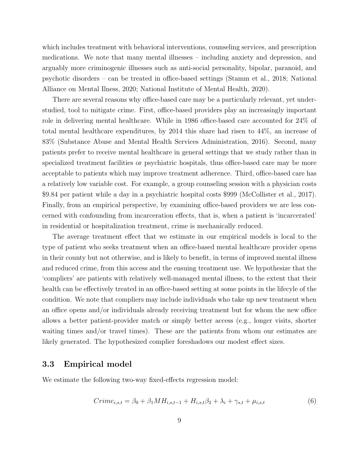which includes treatment with behavioral interventions, counseling services, and prescription medications. We note that many mental illnesses – including anxiety and depression, and arguably more criminogenic illnesses such as anti-social personality, bipolar, paranoid, and psychotic disorders – can be treated in office-based settings (Stamm et al., 2018; National Alliance on Mental Ilness, 2020; National Institute of Mental Health, 2020).

There are several reasons why office-based care may be a particularly relevant, yet understudied, tool to mitigate crime. First, office-based providers play an increasingly important role in delivering mental healthcare. While in 1986 office-based care accounted for 24% of total mental healthcare expenditures, by 2014 this share had risen to 44%, an increase of 83% (Substance Abuse and Mental Health Services Administration, 2016). Second, many patients prefer to receive mental healthcare in general settings that we study rather than in specialized treatment facilities or psychiatric hospitals, thus office-based care may be more acceptable to patients which may improve treatment adherence. Third, office-based care has a relatively low variable cost. For example, a group counseling session with a physician costs \$9.84 per patient while a day in a psychiatric hospital costs \$999 (McCollister et al., 2017). Finally, from an empirical perspective, by examining office-based providers we are less concerned with confounding from incarceration effects, that is, when a patient is 'incarcerated' in residential or hospitalization treatment, crime is mechanically reduced.

The average treatment effect that we estimate in our empirical models is local to the type of patient who seeks treatment when an office-based mental healthcare provider opens in their county but not otherwise, and is likely to benefit, in terms of improved mental illness and reduced crime, from this access and the ensuing treatment use. We hypothesize that the 'compliers' are patients with relatively well-managed mental illness, to the extent that their health can be effectively treated in an office-based setting at some points in the lifecyle of the condition. We note that compliers may include individuals who take up new treatment when an office opens and/or individuals already receiving treatment but for whom the new office allows a better patient-provider match or simply better access (e.g., longer visits, shorter waiting times and/or travel times). These are the patients from whom our estimates are likely generated. The hypothesized complier foreshadows our modest effect sizes.

#### 3.3 Empirical model

We estimate the following two-way fixed-effects regression model:

$$
Crime_{i,s,t} = \beta_0 + \beta_1 M H_{i,s,t-1} + H_{i,s,t} \beta_2 + \lambda_i + \gamma_{s,t} + \mu_{i,s,t}
$$
\n<sup>(6)</sup>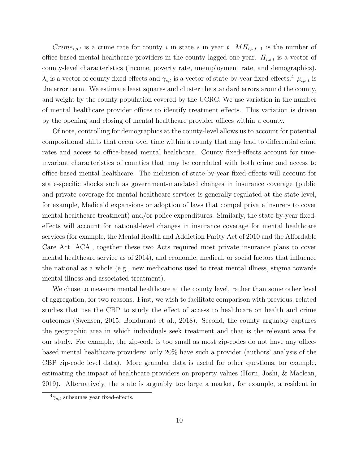$Crime_{i,s,t}$  is a crime rate for county i in state s in year t.  $MH_{i,s,t-1}$  is the number of office-based mental healthcare providers in the county lagged one year.  $H_{i,s,t}$  is a vector of county-level characteristics (income, poverty rate, unemployment rate, and demographics).  $\lambda_i$  is a vector of county fixed-effects and  $\gamma_{s,t}$  is a vector of state-by-year fixed-effects.<sup>4</sup>  $\mu_{i,s,t}$  is the error term. We estimate least squares and cluster the standard errors around the county, and weight by the county population covered by the UCRC. We use variation in the number of mental healthcare provider offices to identify treatment effects. This variation is driven by the opening and closing of mental healthcare provider offices within a county.

Of note, controlling for demographics at the county-level allows us to account for potential compositional shifts that occur over time within a county that may lead to differential crime rates and access to office-based mental healthcare. County fixed-effects account for timeinvariant characteristics of counties that may be correlated with both crime and access to office-based mental healthcare. The inclusion of state-by-year fixed-effects will account for state-specific shocks such as government-mandated changes in insurance coverage (public and private coverage for mental healthcare services is generally regulated at the state-level, for example, Medicaid expansions or adoption of laws that compel private insurers to cover mental healthcare treatment) and/or police expenditures. Similarly, the state-by-year fixedeffects will account for national-level changes in insurance coverage for mental healthcare services (for example, the Mental Health and Addiction Parity Act of 2010 and the Affordable Care Act [ACA], together these two Acts required most private insurance plans to cover mental healthcare service as of 2014), and economic, medical, or social factors that influence the national as a whole (e.g., new medications used to treat mental illness, stigma towards mental illness and associated treatment).

We chose to measure mental healthcare at the county level, rather than some other level of aggregation, for two reasons. First, we wish to facilitate comparison with previous, related studies that use the CBP to study the effect of access to healthcare on health and crime outcomes (Swensen, 2015; Bondurant et al., 2018). Second, the county arguably captures the geographic area in which individuals seek treatment and that is the relevant area for our study. For example, the zip-code is too small as most zip-codes do not have any officebased mental healthcare providers: only 20% have such a provider (authors' analysis of the CBP zip-code level data). More granular data is useful for other questions, for example, estimating the impact of healthcare providers on property values (Horn, Joshi, & Maclean, 2019). Alternatively, the state is arguably too large a market, for example, a resident in

 $^{4}\gamma_{s,t}$  subsumes year fixed-effects.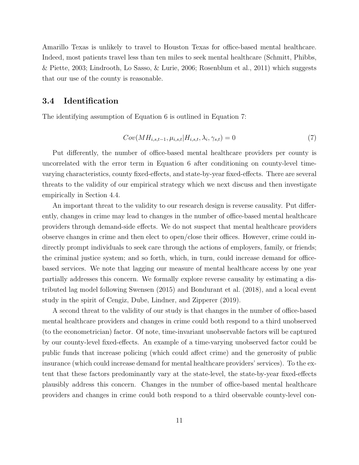Amarillo Texas is unlikely to travel to Houston Texas for office-based mental healthcare. Indeed, most patients travel less than ten miles to seek mental healthcare (Schmitt, Phibbs, & Piette, 2003; Lindrooth, Lo Sasso, & Lurie, 2006; Rosenblum et al., 2011) which suggests that our use of the county is reasonable.

### 3.4 Identification

The identifying assumption of Equation 6 is outlined in Equation 7:

$$
Cov(MH_{i,s,t-1}, \mu_{i,s,t} | H_{i,s,t}, \lambda_i, \gamma_{s,t}) = 0
$$
\n(7)

Put differently, the number of office-based mental healthcare providers per county is uncorrelated with the error term in Equation 6 after conditioning on county-level timevarying characteristics, county fixed-effects, and state-by-year fixed-effects. There are several threats to the validity of our empirical strategy which we next discuss and then investigate empirically in Section 4.4.

An important threat to the validity to our research design is reverse causality. Put differently, changes in crime may lead to changes in the number of office-based mental healthcare providers through demand-side effects. We do not suspect that mental healthcare providers observe changes in crime and then elect to open/close their offices. However, crime could indirectly prompt individuals to seek care through the actions of employers, family, or friends; the criminal justice system; and so forth, which, in turn, could increase demand for officebased services. We note that lagging our measure of mental healthcare access by one year partially addresses this concern. We formally explore reverse causality by estimating a distributed lag model following Swensen (2015) and Bondurant et al. (2018), and a local event study in the spirit of Cengiz, Dube, Lindner, and Zipperer (2019).

A second threat to the validity of our study is that changes in the number of office-based mental healthcare providers and changes in crime could both respond to a third unobserved (to the econometrician) factor. Of note, time-invariant unobservable factors will be captured by our county-level fixed-effects. An example of a time-varying unobserved factor could be public funds that increase policing (which could affect crime) and the generosity of public insurance (which could increase demand for mental healthcare providers' services). To the extent that these factors predominantly vary at the state-level, the state-by-year fixed-effects plausibly address this concern. Changes in the number of office-based mental healthcare providers and changes in crime could both respond to a third observable county-level con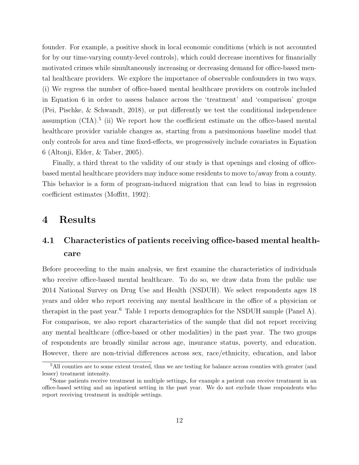founder. For example, a positive shock in local economic conditions (which is not accounted for by our time-varying county-level controls), which could decrease incentives for financially motivated crimes while simultaneously increasing or decreasing demand for office-based mental healthcare providers. We explore the importance of observable confounders in two ways. (i) We regress the number of office-based mental healthcare providers on controls included in Equation 6 in order to assess balance across the 'treatment' and 'comparison' groups (Pei, Pischke, & Schwandt, 2018), or put differently we test the conditional independence assumption  $(CIA)^5$  (ii) We report how the coefficient estimate on the office-based mental healthcare provider variable changes as, starting from a parsimonious baseline model that only controls for area and time fixed-effects, we progressively include covariates in Equation 6 (Altonji, Elder, & Taber, 2005).

Finally, a third threat to the validity of our study is that openings and closing of officebased mental healthcare providers may induce some residents to move to/away from a county. This behavior is a form of program-induced migration that can lead to bias in regression coefficient estimates (Moffitt, 1992).

## 4 Results

# 4.1 Characteristics of patients receiving office-based mental healthcare

Before proceeding to the main analysis, we first examine the characteristics of individuals who receive office-based mental healthcare. To do so, we draw data from the public use 2014 National Survey on Drug Use and Health (NSDUH). We select respondents ages 18 years and older who report receiving any mental healthcare in the office of a physician or therapist in the past year.<sup>6</sup> Table 1 reports demographics for the NSDUH sample (Panel A). For comparison, we also report characteristics of the sample that did not report receiving any mental healthcare (office-based or other modalities) in the past year. The two groups of respondents are broadly similar across age, insurance status, poverty, and education. However, there are non-trivial differences across sex, race/ethnicity, education, and labor

<sup>5</sup>All counties are to some extent treated, thus we are testing for balance across counties with greater (and lesser) treatment intensity.

<sup>&</sup>lt;sup>6</sup>Some patients receive treatment in multiple settings, for example a patient can receive treatment in an office-based setting and an inpatient setting in the past year. We do not exclude those respondents who report receiving treatment in multiple settings.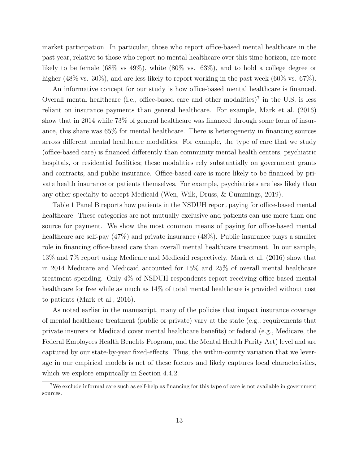market participation. In particular, those who report office-based mental healthcare in the past year, relative to those who report no mental healthcare over this time horizon, are more likely to be female (68% vs 49%), white (80% vs. 63%), and to hold a college degree or higher (48% vs. 30%), and are less likely to report working in the past week (60% vs. 67%).

An informative concept for our study is how office-based mental healthcare is financed. Overall mental healthcare (i.e., office-based care and other modalities)<sup>7</sup> in the U.S. is less reliant on insurance payments than general healthcare. For example, Mark et al. (2016) show that in 2014 while 73% of general healthcare was financed through some form of insurance, this share was 65% for mental healthcare. There is heterogeneity in financing sources across different mental healthcare modalities. For example, the type of care that we study (office-based care) is financed differently than community mental health centers, psychiatric hospitals, or residential facilities; these modalities rely substantially on government grants and contracts, and public insurance. Office-based care is more likely to be financed by private health insurance or patients themselves. For example, psychiatrists are less likely than any other specialty to accept Medicaid (Wen, Wilk, Druss, & Cummings, 2019).

Table 1 Panel B reports how patients in the NSDUH report paying for office-based mental healthcare. These categories are not mutually exclusive and patients can use more than one source for payment. We show the most common means of paying for office-based mental healthcare are self-pay  $(47\%)$  and private insurance  $(48\%)$ . Public insurance plays a smaller role in financing office-based care than overall mental healthcare treatment. In our sample, 13% and 7% report using Medicare and Medicaid respectively. Mark et al. (2016) show that in 2014 Medicare and Medicaid accounted for 15% and 25% of overall mental healthcare treatment spending. Only 4% of NSDUH respondents report receiving office-based mental healthcare for free while as much as  $14\%$  of total mental healthcare is provided without cost to patients (Mark et al., 2016).

As noted earlier in the manuscript, many of the policies that impact insurance coverage of mental healthcare treatment (public or private) vary at the state (e.g., requirements that private insurers or Medicaid cover mental healthcare benefits) or federal (e.g., Medicare, the Federal Employees Health Benefits Program, and the Mental Health Parity Act) level and are captured by our state-by-year fixed-effects. Thus, the within-county variation that we leverage in our empirical models is net of these factors and likely captures local characteristics, which we explore empirically in Section 4.4.2.

<sup>7</sup>We exclude informal care such as self-help as financing for this type of care is not available in government sources.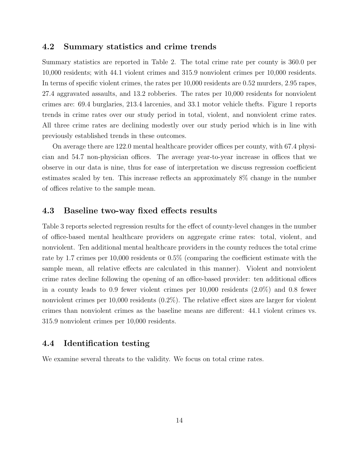### 4.2 Summary statistics and crime trends

Summary statistics are reported in Table 2. The total crime rate per county is 360.0 per 10,000 residents; with 44.1 violent crimes and 315.9 nonviolent crimes per 10,000 residents. In terms of specific violent crimes, the rates per 10,000 residents are 0.52 murders, 2.95 rapes, 27.4 aggravated assaults, and 13.2 robberies. The rates per 10,000 residents for nonviolent crimes are: 69.4 burglaries, 213.4 larcenies, and 33.1 motor vehicle thefts. Figure 1 reports trends in crime rates over our study period in total, violent, and nonviolent crime rates. All three crime rates are declining modestly over our study period which is in line with previously established trends in these outcomes.

On average there are 122.0 mental healthcare provider offices per county, with 67.4 physician and 54.7 non-physician offices. The average year-to-year increase in offices that we observe in our data is nine, thus for ease of interpretation we discuss regression coefficient estimates scaled by ten. This increase reflects an approximately 8% change in the number of offices relative to the sample mean.

#### 4.3 Baseline two-way fixed effects results

Table 3 reports selected regression results for the effect of county-level changes in the number of office-based mental healthcare providers on aggregate crime rates: total, violent, and nonviolent. Ten additional mental healthcare providers in the county reduces the total crime rate by 1.7 crimes per 10,000 residents or 0.5% (comparing the coefficient estimate with the sample mean, all relative effects are calculated in this manner). Violent and nonviolent crime rates decline following the opening of an office-based provider: ten additional offices in a county leads to 0.9 fewer violent crimes per 10,000 residents (2.0%) and 0.8 fewer nonviolent crimes per 10,000 residents  $(0.2\%)$ . The relative effect sizes are larger for violent crimes than nonviolent crimes as the baseline means are different: 44.1 violent crimes vs. 315.9 nonviolent crimes per 10,000 residents.

### 4.4 Identification testing

We examine several threats to the validity. We focus on total crime rates.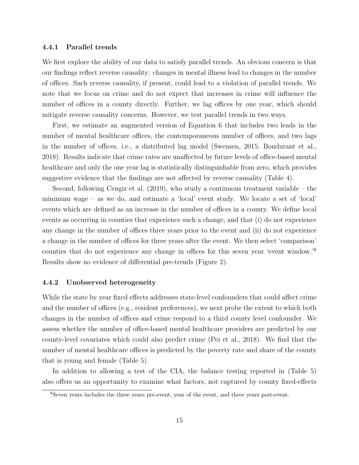#### 4.4.1 Parallel trends

We first explore the ability of our data to satisfy parallel trends. An obvious concern is that our findings reflect reverse causality: changes in mental illness lead to changes in the number of offices. Such reverse causality, if present, could lead to a violation of parallel trends. We note that we focus on crime and do not expect that increases in crime will influence the number of offices in a county directly. Further, we lag offices by one year, which should mitigate reverse causality concerns. However, we test parallel trends in two ways.

First, we estimate an augmented version of Equation 6 that includes two leads in the number of mental healthcare offices, the contemporaneous number of offices, and two lags in the number of offices, i.e., a distributed lag model (Swensen, 2015; Bondurant et al., 2018). Results indicate that crime rates are unaffected by future levels of office-based mental healthcare and only the one year lag is statistically distinguishable from zero, which provides suggestive evidence that the findings are not affected by reverse causality (Table 4).

Second, following Cengiz et al. (2019), who study a continuous treatment variable – the minimum wage – as we do, and estimate a 'local' event study. We locate a set of 'local' events which are defined as an increase in the number of offices in a county. We define local events as occurring in counties that experience such a change, and that (i) do not experience any change in the number of offices three years prior to the event and (ii) do not experience a change in the number of offices for three years after the event. We then select 'comparison' counties that do not experience any change in offices for this seven year 'event window.'<sup>8</sup> Results show no evidence of differential pre-trends (Figure 2).

#### 4.4.2 Unobserved heterogeneity

While the state by year fixed effects addresses state-level confounders that could affect crime and the number of offices (e.g., resident preferences), we next probe the extent to which both changes in the number of offices and crime respond to a third county level confounder. We assess whether the number of office-based mental healthcare providers are predicted by our county-level covariates which could also predict crime (Pei et al., 2018). We find that the number of mental healthcare offices is predicted by the poverty rate and share of the county that is young and female (Table 5).

In addition to allowing a test of the CIA, the balance testing reported in (Table 5) also offers us an opportunity to examine what factors, not captured by county fixed-effects

<sup>8</sup>Seven years includes the three years pre-event, year of the event, and three years post-event.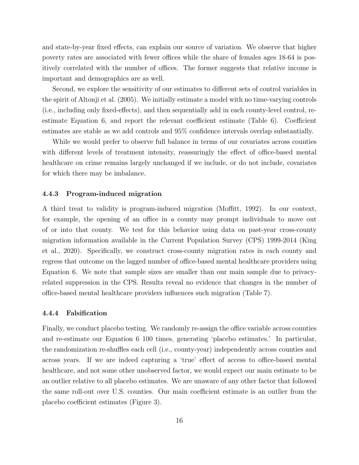and state-by-year fixed effects, can explain our source of variation. We observe that higher poverty rates are associated with fewer offices while the share of females ages 18-64 is positively correlated with the number of offices. The former suggests that relative income is important and demographics are as well.

Second, we explore the sensitivity of our estimates to different sets of control variables in the spirit of Altonji et al. (2005). We initially estimate a model with no time-varying controls (i.e., including only fixed-effects), and then sequentially add in each county-level control, reestimate Equation 6, and report the relevant coefficient estimate (Table 6). Coefficient estimates are stable as we add controls and 95% confidence intervals overlap substantially.

While we would prefer to observe full balance in terms of our covariates across counties with different levels of treatment intensity, reassuringly the effect of office-based mental healthcare on crime remains largely unchanged if we include, or do not include, covariates for which there may be imbalance.

#### 4.4.3 Program-induced migration

A third treat to validity is program-induced migration (Moffitt, 1992). In our context, for example, the opening of an office in a county may prompt individuals to move out of or into that county. We test for this behavior using data on past-year cross-county migration information available in the Current Population Survey (CPS) 1999-2014 (King et al., 2020). Specifically, we construct cross-county migration rates in each county and regress that outcome on the lagged number of office-based mental healthcare providers using Equation 6. We note that sample sizes are smaller than our main sample due to privacyrelated suppression in the CPS. Results reveal no evidence that changes in the number of office-based mental healthcare providers influences such migration (Table 7).

#### 4.4.4 Falsification

Finally, we conduct placebo testing. We randomly re-assign the office variable across counties and re-estimate our Equation 6 100 times, generating 'placebo estimates.' In particular, the randomization re-shuffles each cell (i.e., county-year) independently across counties and across years. If we are indeed capturing a 'true' effect of access to office-based mental healthcare, and not some other unobserved factor, we would expect our main estimate to be an outlier relative to all placebo estimates. We are unaware of any other factor that followed the same roll-out over U.S. counties. Our main coefficient estimate is an outlier from the placebo coefficient estimates (Figure 3).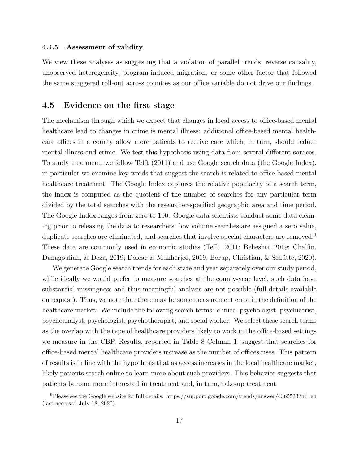#### 4.4.5 Assessment of validity

We view these analyses as suggesting that a violation of parallel trends, reverse causality, unobserved heterogeneity, program-induced migration, or some other factor that followed the same staggered roll-out across counties as our office variable do not drive our findings.

### 4.5 Evidence on the first stage

The mechanism through which we expect that changes in local access to office-based mental healthcare lead to changes in crime is mental illness: additional office-based mental healthcare offices in a county allow more patients to receive care which, in turn, should reduce mental illness and crime. We test this hypothesis using data from several different sources. To study treatment, we follow Tefft (2011) and use Google search data (the Google Index), in particular we examine key words that suggest the search is related to office-based mental healthcare treatment. The Google Index captures the relative popularity of a search term, the index is computed as the quotient of the number of searches for any particular term divided by the total searches with the researcher-specified geographic area and time period. The Google Index ranges from zero to 100. Google data scientists conduct some data cleaning prior to releasing the data to researchers: low volume searches are assigned a zero value, duplicate searches are eliminated, and searches that involve special characters are removed.<sup>9</sup> These data are commonly used in economic studies (Tefft, 2011; Beheshti, 2019; Chalfin, Danagoulian, & Deza, 2019; Doleac & Mukherjee, 2019; Borup, Christian, & Schütte, 2020).

We generate Google search trends for each state and year separately over our study period, while ideally we would prefer to measure searches at the county-year level, such data have substantial missingness and thus meaningful analysis are not possible (full details available on request). Thus, we note that there may be some measurement error in the definition of the healthcare market. We include the following search terms: clinical psychologist, psychiatrist, psychoanalyst, psychologist, psychotherapist, and social worker. We select these search terms as the overlap with the type of healthcare providers likely to work in the office-based settings we measure in the CBP. Results, reported in Table 8 Column 1, suggest that searches for office-based mental healthcare providers increase as the number of offices rises. This pattern of results is in line with the hypothesis that as access increases in the local healthcare market, likely patients search online to learn more about such providers. This behavior suggests that patients become more interested in treatment and, in turn, take-up treatment.

<sup>9</sup>Please see the Google website for full details: https://support.google.com/trends/answer/4365533?hl=en (last accessed July 18, 2020).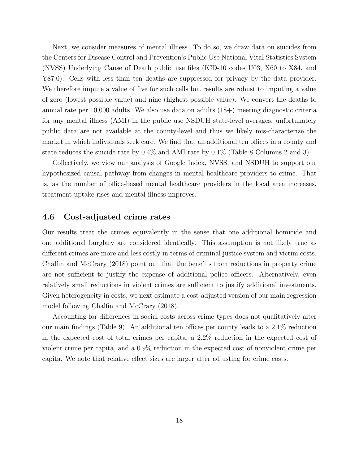Next, we consider measures of mental illness. To do so, we draw data on suicides from the Centers for Disease Control and Prevention's Public Use National Vital Statistics System (NVSS) Underlying Cause of Death public use files (ICD-10 codes U03, X60 to X84, and Y87.0). Cells with less than ten deaths are suppressed for privacy by the data provider. We therefore impute a value of five for such cells but results are robust to imputing a value of zero (lowest possible value) and nine (highest possible value). We convert the deaths to annual rate per 10,000 adults. We also use data on adults (18+) meeting diagnostic criteria for any mental illness (AMI) in the public use NSDUH state-level averages; unfortunately public data are not available at the county-level and thus we likely mis-characterize the market in which individuals seek care. We find that an additional ten offices in a county and state reduces the suicide rate by 0.4% and AMI rate by 0.1% (Table 8 Columns 2 and 3).

Collectively, we view our analysis of Google Index, NVSS, and NSDUH to support our hypothesized causal pathway from changes in mental healthcare providers to crime. That is, as the number of office-based mental healthcare providers in the local area increases, treatment uptake rises and mental illness improves.

### 4.6 Cost-adjusted crime rates

Our results treat the crimes equivalently in the sense that one additional homicide and one additional burglary are considered identically. This assumption is not likely true as different crimes are more and less costly in terms of criminal justice system and victim costs. Chalfin and McCrary (2018) point out that the benefits from reductions in property crime are not sufficient to justify the expense of additional police officers. Alternatively, even relatively small reductions in violent crimes are sufficient to justify additional investments. Given heterogeneity in costs, we next estimate a cost-adjusted version of our main regression model following Chalfin and McCrary (2018).

Accounting for differences in social costs across crime types does not qualitatively alter our main findings (Table 9). An additional ten offices per county leads to a 2.1% reduction in the expected cost of total crimes per capita, a 2.2% reduction in the expected cost of violent crime per capita, and a 0.9% reduction in the expected cost of nonviolent crime per capita. We note that relative effect sizes are larger after adjusting for crime costs.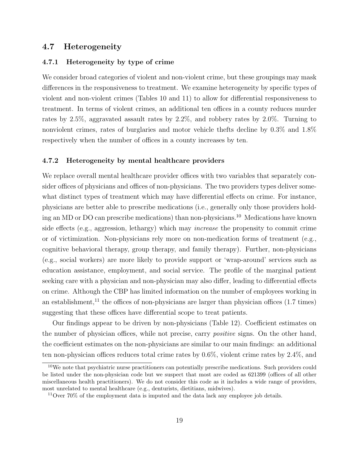### 4.7 Heterogeneity

#### 4.7.1 Heterogeneity by type of crime

We consider broad categories of violent and non-violent crime, but these groupings may mask differences in the responsiveness to treatment. We examine heterogeneity by specific types of violent and non-violent crimes (Tables 10 and 11) to allow for differential responsiveness to treatment. In terms of violent crimes, an additional ten offices in a county reduces murder rates by 2.5%, aggravated assault rates by 2.2%, and robbery rates by 2.0%. Turning to nonviolent crimes, rates of burglaries and motor vehicle thefts decline by 0.3% and 1.8% respectively when the number of offices in a county increases by ten.

#### 4.7.2 Heterogeneity by mental healthcare providers

We replace overall mental healthcare provider offices with two variables that separately consider offices of physicians and offices of non-physicians. The two providers types deliver somewhat distinct types of treatment which may have differential effects on crime. For instance, physicians are better able to prescribe medications (i.e., generally only those providers holding an MD or DO can prescribe medications) than non-physicians.<sup>10</sup> Medications have known side effects (e.g., aggression, lethargy) which may increase the propensity to commit crime or of victimization. Non-physicians rely more on non-medication forms of treatment (e.g., cognitive behavioral therapy, group therapy, and family therapy). Further, non-physicians (e.g., social workers) are more likely to provide support or 'wrap-around' services such as education assistance, employment, and social service. The profile of the marginal patient seeking care with a physician and non-physician may also differ, leading to differential effects on crime. Although the CBP has limited information on the number of employees working in an establishment,<sup>11</sup> the offices of non-physicians are larger than physician offices  $(1.7 \text{ times})$ suggesting that these offices have differential scope to treat patients.

Our findings appear to be driven by non-physicians (Table 12). Coefficient estimates on the number of physician offices, while not precise, carry positive signs. On the other hand, the coefficient estimates on the non-physicians are similar to our main findings: an additional ten non-physician offices reduces total crime rates by 0.6%, violent crime rates by 2.4%, and

<sup>10</sup>We note that psychiatric nurse practitioners can potentially prescribe medications. Such providers could be listed under the non-physician code but we suspect that most are coded as 621399 (offices of all other miscellaneous health practitioners). We do not consider this code as it includes a wide range of providers, most unrelated to mental healthcare (e.g., denturists, dietitians, midwives).

 $11$ Over 70% of the employment data is imputed and the data lack any employee job details.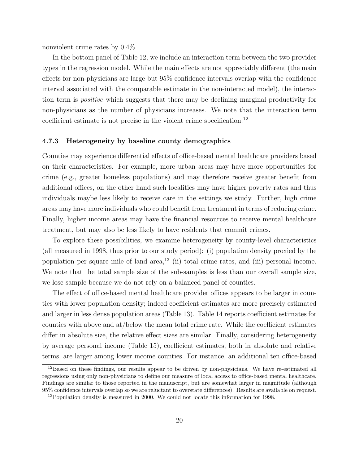nonviolent crime rates by 0.4%.

In the bottom panel of Table 12, we include an interaction term between the two provider types in the regression model. While the main effects are not appreciably different (the main effects for non-physicians are large but 95% confidence intervals overlap with the confidence interval associated with the comparable estimate in the non-interacted model), the interaction term is positive which suggests that there may be declining marginal productivity for non-physicians as the number of physicians increases. We note that the interaction term coefficient estimate is not precise in the violent crime specification.<sup>12</sup>

#### 4.7.3 Heterogeneity by baseline county demographics

Counties may experience differential effects of office-based mental healthcare providers based on their characteristics. For example, more urban areas may have more opportunities for crime (e.g., greater homeless populations) and may therefore receive greater benefit from additional offices, on the other hand such localities may have higher poverty rates and thus individuals maybe less likely to receive care in the settings we study. Further, high crime areas may have more individuals who could benefit from treatment in terms of reducing crime. Finally, higher income areas may have the financial resources to receive mental healthcare treatment, but may also be less likely to have residents that commit crimes.

To explore these possibilities, we examine heterogeneity by county-level characteristics (all measured in 1998, thus prior to our study period): (i) population density proxied by the population per square mile of land area,<sup>13</sup> (ii) total crime rates, and (iii) personal income. We note that the total sample size of the sub-samples is less than our overall sample size, we lose sample because we do not rely on a balanced panel of counties.

The effect of office-based mental healthcare provider offices appears to be larger in counties with lower population density; indeed coefficient estimates are more precisely estimated and larger in less dense population areas (Table 13). Table 14 reports coefficient estimates for counties with above and at/below the mean total crime rate. While the coefficient estimates differ in absolute size, the relative effect sizes are similar. Finally, considering heterogeneity by average personal income (Table 15), coefficient estimates, both in absolute and relative terms, are larger among lower income counties. For instance, an additional ten office-based

 $12B$ ased on these findings, our results appear to be driven by non-physicians. We have re-estimated all regressions using only non-physicians to define our measure of local access to office-based mental healthcare. Findings are similar to those reported in the manuscript, but are somewhat larger in magnitude (although 95% confidence intervals overlap so we are reluctant to overstate differences). Results are available on request.

<sup>&</sup>lt;sup>13</sup>Population density is measured in 2000. We could not locate this information for 1998.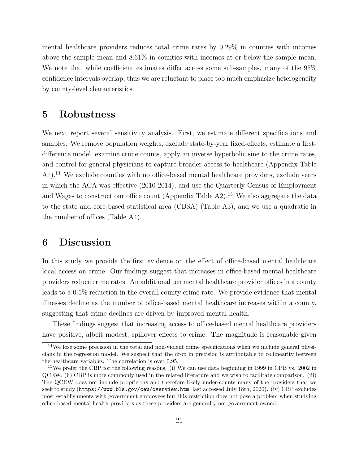mental healthcare providers reduces total crime rates by 0.29% in counties with incomes above the sample mean and 8.61% in counties with incomes at or below the sample mean. We note that while coefficient estimates differ across some sub-samples, many of the 95% confidence intervals overlap, thus we are reluctant to place too much emphasize heterogeneity by county-level characteristics.

## 5 Robustness

We next report several sensitivity analysis. First, we estimate different specifications and samples. We remove population weights, exclude state-by-year fixed-effects, estimate a firstdifference model, examine crime counts, apply an inverse hyperbolic sine to the crime rates, and control for general physicians to capture broader access to healthcare (Appendix Table A1).<sup>14</sup> We exclude counties with no office-based mental healthcare providers, exclude years in which the ACA was effective (2010-2014), and use the Quarterly Census of Employment and Wages to construct our office count (Appendix Table  $A2$ ).<sup>15</sup> We also aggregate the data to the state and core-based statistical area (CBSA) (Table A3), and we use a quadratic in the number of offices (Table A4).

## 6 Discussion

In this study we provide the first evidence on the effect of office-based mental healthcare local access on crime. Our findings suggest that increases in office-based mental healthcare providers reduce crime rates. An additional ten mental healthcare provider offices in a county leads to a 0.5% reduction in the overall county crime rate. We provide evidence that mental illnesses decline as the number of office-based mental healthcare increases within a county, suggesting that crime declines are driven by improved mental health.

These findings suggest that increasing access to office-based mental healthcare providers have positive, albeit modest, spillover effects to crime. The magnitude is reasonable given

<sup>&</sup>lt;sup>14</sup>We lose some precision in the total and non-violent crime specifications when we include general physicians in the regression model. We suspect that the drop in precision is attributable to collinearity between the healthcare variables. The correlation is over 0.95.

<sup>&</sup>lt;sup>15</sup>We prefer the CBP for the following reasons. (i) We can use data beginning in 1999 in CPB vs. 2002 in QCEW. (ii) CBP is more commonly used in the related literature and we wish to facilitate comparison. (iii) The QCEW does not include proprietors and therefore likely under-counts many of the providers that we seek to study (https://www.bls.gov/cew/overview.htm; last accessed July 18th, 2020). (iv) CBP excludes most establishments with government employees but this restriction does not pose a problem when studying office-based mental health providers as these providers are generally not government-owned.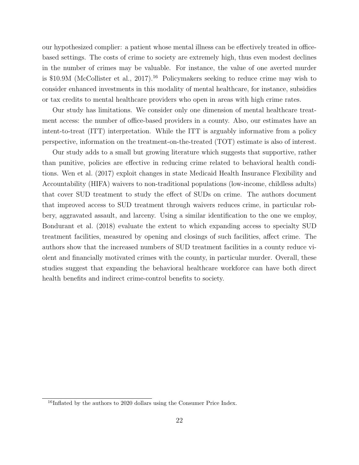our hypothesized complier: a patient whose mental illness can be effectively treated in officebased settings. The costs of crime to society are extremely high, thus even modest declines in the number of crimes may be valuable. For instance, the value of one averted murder is \$10.9M (McCollister et al., 2017).<sup>16</sup> Policymakers seeking to reduce crime may wish to consider enhanced investments in this modality of mental healthcare, for instance, subsidies or tax credits to mental healthcare providers who open in areas with high crime rates.

Our study has limitations. We consider only one dimension of mental healthcare treatment access: the number of office-based providers in a county. Also, our estimates have an intent-to-treat (ITT) interpretation. While the ITT is arguably informative from a policy perspective, information on the treatment-on-the-treated (TOT) estimate is also of interest.

Our study adds to a small but growing literature which suggests that supportive, rather than punitive, policies are effective in reducing crime related to behavioral health conditions. Wen et al. (2017) exploit changes in state Medicaid Health Insurance Flexibility and Accountability (HIFA) waivers to non-traditional populations (low-income, childless adults) that cover SUD treatment to study the effect of SUDs on crime. The authors document that improved access to SUD treatment through waivers reduces crime, in particular robbery, aggravated assault, and larceny. Using a similar identification to the one we employ, Bondurant et al. (2018) evaluate the extent to which expanding access to specialty SUD treatment facilities, measured by opening and closings of such facilities, affect crime. The authors show that the increased numbers of SUD treatment facilities in a county reduce violent and financially motivated crimes with the county, in particular murder. Overall, these studies suggest that expanding the behavioral healthcare workforce can have both direct health benefits and indirect crime-control benefits to society.

 $16$ Inflated by the authors to 2020 dollars using the Consumer Price Index.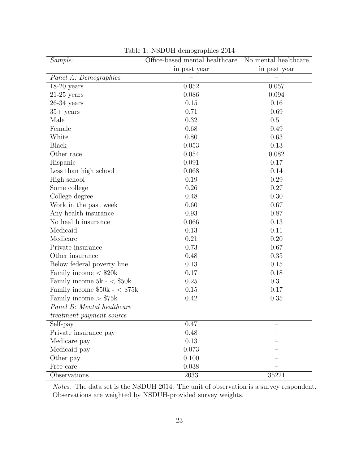| Sample:                         | Office-based mental healthcare | No mental healthcare |
|---------------------------------|--------------------------------|----------------------|
|                                 | in past year                   | in past year         |
| Panel A: Demographics           |                                |                      |
| $18-20$ years                   | 0.052                          | 0.057                |
| $21-25$ years                   | 0.086                          | 0.094                |
| $26-34$ years                   | 0.15                           | 0.16                 |
| $35+$ years                     | 0.71                           | 0.69                 |
| Male                            | 0.32                           | 0.51                 |
| Female                          | 0.68                           | 0.49                 |
| White                           | 0.80                           | 0.63                 |
| <b>Black</b>                    | 0.053                          | 0.13                 |
| Other race                      | 0.054                          | 0.082                |
| Hispanic                        | 0.091                          | 0.17                 |
| Less than high school           | 0.068                          | 0.14                 |
| High school                     | 0.19                           | 0.29                 |
| Some college                    | 0.26                           | 0.27                 |
| College degree                  | 0.48                           | 0.30                 |
| Work in the past week           | 0.60                           | 0.67                 |
| Any health insurance            | 0.93                           | 0.87                 |
| No health insurance             | 0.066                          | 0.13                 |
| Medicaid                        | 0.13                           | 0.11                 |
| Medicare                        | 0.21                           | 0.20                 |
| Private insurance               | 0.73                           | 0.67                 |
| Other insurance                 | 0.48                           | 0.35                 |
| Below federal poverty line      | 0.13                           | 0.15                 |
| Family income $<$ \$20 $k$      | 0.17                           | 0.18                 |
| Family income $5k - <$ \$50k    | 0.25                           | 0.31                 |
| Family income $$50k - $75k$     | 0.15                           | 0.17                 |
| Family income $> $75k$          | 0.42                           | 0.35                 |
| Panel B: Mental healthcare      |                                |                      |
| <i>treatment payment source</i> |                                |                      |
| $\overline{\text{Self-pay}}$    | 0.47                           |                      |
| Private insurance pay           | 0.48                           |                      |
| Medicare pay                    | 0.13                           |                      |
| Medicaid pay                    | 0.073                          |                      |
| Other pay                       | 0.100                          |                      |
| Free care                       | 0.038                          |                      |
| Observations                    | $2033\,$                       | 35221                |

Table 1: NSDUH demographics 2014

Notes: The data set is the NSDUH 2014. The unit of observation is a survey respondent. Observations are weighted by NSDUH-provided survey weights.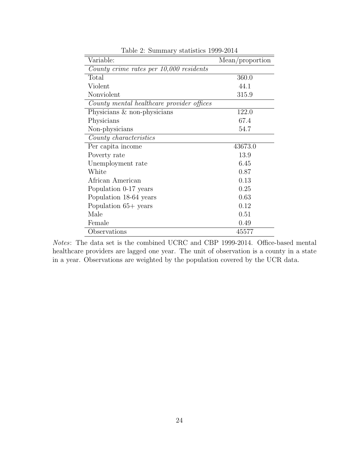| Variable:                                 | Mean/proportion |
|-------------------------------------------|-----------------|
| County crime rates per 10,000 residents   |                 |
| Total                                     | 360.0           |
| Violent                                   | 44.1            |
| Nonviolent                                | 315.9           |
| County mental healthcare provider offices |                 |
| Physicians & non-physicians               | 122.0           |
| Physicians                                | 67.4            |
| Non-physicians                            | 54.7            |
| County characteristics                    |                 |
| Per capita income                         | 43673.0         |
| Poverty rate                              | 13.9            |
| Unemployment rate                         | 6.45            |
| White                                     | 0.87            |
| African American                          | 0.13            |
| Population 0-17 years                     | 0.25            |
| Population 18-64 years                    | 0.63            |
| Population $65+$ years                    | 0.12            |
| Male                                      | 0.51            |
| Female                                    | 0.49            |
| Observations                              | 45577           |

Table 2: Summary statistics 1999-2014

Notes: The data set is the combined UCRC and CBP 1999-2014. Office-based mental healthcare providers are lagged one year. The unit of observation is a county in a state in a year. Observations are weighted by the population covered by the UCR data.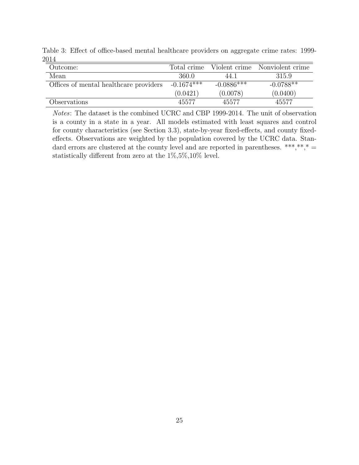| Outcome:                               | Total crime  |              | Violent crime Nonviolent crime |
|----------------------------------------|--------------|--------------|--------------------------------|
| Mean                                   | 360.0        | 44.1         | 315.9                          |
| Offices of mental healthcare providers | $-0.1674***$ | $-0.0886***$ | $-0.0788**$                    |
|                                        | (0.0421)     | (0.0078)     | (0.0400)                       |
| Observations                           | 45577        | 45577        | 45577                          |

Table 3: Effect of office-based mental healthcare providers on aggregate crime rates: 1999- 2014

Notes: The dataset is the combined UCRC and CBP 1999-2014. The unit of observation is a county in a state in a year. All models estimated with least squares and control for county characteristics (see Section 3.3), state-by-year fixed-effects, and county fixedeffects. Observations are weighted by the population covered by the UCRC data. Standard errors are clustered at the county level and are reported in parentheses. \*\*\*,\*\*,\* = statistically different from zero at the 1%,5%,10% level.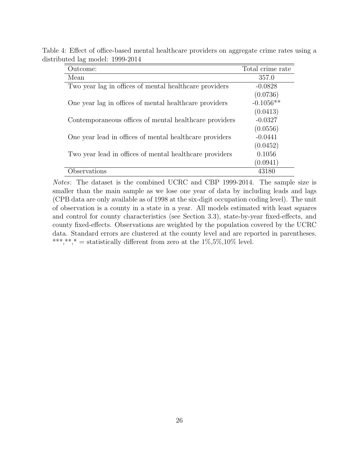Table 4: Effect of office-based mental healthcare providers on aggregate crime rates using a distributed lag model: 1999-2014

| Outcome:                                                | Total crime rate |
|---------------------------------------------------------|------------------|
| Mean                                                    | 357.0            |
| Two year lag in offices of mental healthcare providers  | $-0.0828$        |
|                                                         | (0.0736)         |
| One year lag in offices of mental healthcare providers  | $-0.1056**$      |
|                                                         | (0.0413)         |
| Contemporaneous offices of mental healthcare providers  | $-0.0327$        |
|                                                         | (0.0556)         |
| One year lead in offices of mental healthcare providers | $-0.0441$        |
|                                                         | (0.0452)         |
| Two year lead in offices of mental healthcare providers | 0.1056           |
|                                                         | (0.0941)         |
| <i>d</i> bservations                                    | 43180            |

Notes: The dataset is the combined UCRC and CBP 1999-2014. The sample size is smaller than the main sample as we lose one year of data by including leads and lags (CPB data are only available as of 1998 at the six-digit occupation coding level). The unit of observation is a county in a state in a year. All models estimated with least squares and control for county characteristics (see Section 3.3), state-by-year fixed-effects, and county fixed-effects. Observations are weighted by the population covered by the UCRC data. Standard errors are clustered at the county level and are reported in parentheses. \*\*\*,\*\*,\* = statistically different from zero at the  $1\%, 5\%, 10\%$  level.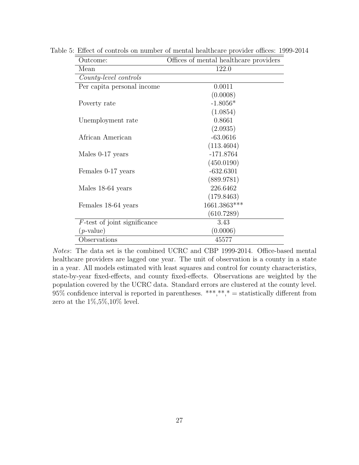| Outcome:                        | Offices of mental healthcare providers |  |  |
|---------------------------------|----------------------------------------|--|--|
| Mean                            | 122.0                                  |  |  |
| County-level controls           |                                        |  |  |
| Per capita personal income      | 0.0011                                 |  |  |
|                                 | (0.0008)                               |  |  |
| Poverty rate                    | $-1.8056*$                             |  |  |
|                                 | (1.0854)                               |  |  |
| Unemployment rate               | 0.8661                                 |  |  |
|                                 | (2.0935)                               |  |  |
| African American                | $-63.0616$                             |  |  |
|                                 | (113.4604)                             |  |  |
| Males 0-17 years                | $-171.8764$                            |  |  |
|                                 | (450.0190)                             |  |  |
| Females 0-17 years              | $-632.6301$                            |  |  |
|                                 | (889.9781)                             |  |  |
| Males 18-64 years               | 226.6462                               |  |  |
|                                 | (179.8463)                             |  |  |
| Females 18-64 years             | 1661.3863***                           |  |  |
|                                 | (610.7289)                             |  |  |
| $F$ -test of joint significance | 3.43                                   |  |  |
| $(p$ -value)                    | (0.0006)                               |  |  |
| Observations                    | 45577                                  |  |  |

Table 5: Effect of controls on number of mental healthcare provider offices: 1999-2014

Notes: The data set is the combined UCRC and CBP 1999-2014. Office-based mental healthcare providers are lagged one year. The unit of observation is a county in a state in a year. All models estimated with least squares and control for county characteristics, state-by-year fixed-effects, and county fixed-effects. Observations are weighted by the population covered by the UCRC data. Standard errors are clustered at the county level.  $95\%$  confidence interval is reported in parentheses. \*\*\*,\*\*,\* = statistically different from zero at the  $1\%, 5\%, 10\%$  level.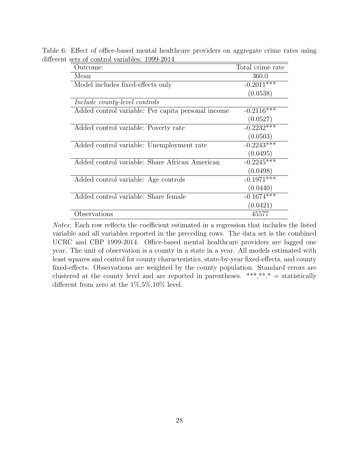| $\frac{1}{20110101}$ $\frac{1}{2011001001}$ $\frac{1}{2000}$ $\frac{1}{2011}$ |                          |
|-------------------------------------------------------------------------------|--------------------------|
| Outcome:                                                                      | Total crime rate         |
| Mean                                                                          | 360.0                    |
| Model includes fixed-effects only                                             | $-0.2011$ <sup>***</sup> |
|                                                                               | (0.0538)                 |
| Include county-level controls                                                 |                          |
| Added control variable: Per capita personal income                            | $-0.2116***$             |
|                                                                               | (0.0527)                 |
| Added control variable: Poverty rate                                          | $-0.2232***$             |
|                                                                               | (0.0503)                 |
| Added control variable: Unemployment rate                                     | $-0.2243***$             |
|                                                                               | (0.0495)                 |
| Added control variable: Share African American                                | $-0.2245***$             |
|                                                                               | (0.0498)                 |
| Added control variable: Age controls                                          | $-0.1971$ ***            |
|                                                                               | (0.0440)                 |
| Added control variable: Share female                                          | $-0.1674***$             |
|                                                                               | (0.0421)                 |
| Observations                                                                  | 45577                    |

Table 6: Effect of office-based mental healthcare providers on aggregate crime rates using different sets of control variables: 1999-2014

Notes: Each row reflects the coefficient estimated in a regression that includes the listed variable and all variables reported in the preceding rows. The data set is the combined UCRC and CBP 1999-2014. Office-based mental healthcare providers are lagged one year. The unit of observation is a county in a state in a year. All models estimated with least squares and control for county characteristics, state-by-year fixed-effects, and county fixed-effects. Observations are weighted by the county population. Standard errors are clustered at the county level and are reported in parentheses. \*\*\*,\*\*,\* = statistically different from zero at the 1%,5%,10% level.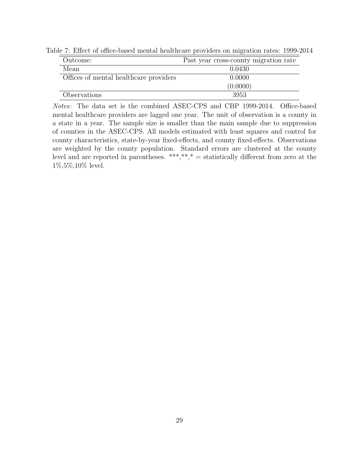| Outcome:                               | Past year cross-county migration rate |
|----------------------------------------|---------------------------------------|
| Mean                                   | 0.0430                                |
| Offices of mental healthcare providers | 0.0000                                |
|                                        | (0.0000)                              |
| Observations                           | 3953                                  |

Table 7: Effect of office-based mental healthcare providers on migration rates: 1999-2014

Notes: The data set is the combined ASEC-CPS and CBP 1999-2014. Office-based mental healthcare providers are lagged one year. The unit of observation is a county in a state in a year. The sample size is smaller than the main sample due to suppression of counties in the ASEC-CPS. All models estimated with least squares and control for county characteristics, state-by-year fixed-effects, and county fixed-effects. Observations are weighted by the county population. Standard errors are clustered at the county level and are reported in parentheses. \*\*\*,\*\*,\* = statistically different from zero at the 1%,5%,10% level.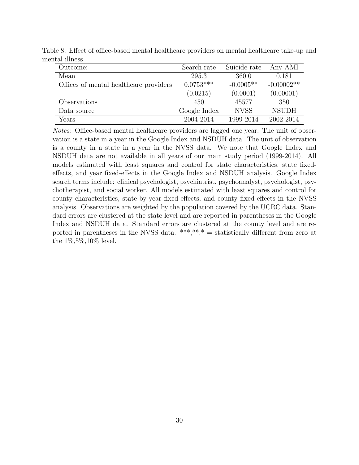| Outcome:                               | Search rate  | Suicide rate | Any AMI      |
|----------------------------------------|--------------|--------------|--------------|
| Mean                                   | 295.3        | 360.0        | 0.181        |
| Offices of mental healthcare providers | $0.0753***$  | $-0.0005**$  | $-0.00002**$ |
|                                        | (0.0215)     | (0.0001)     | (0.00001)    |
| Observations                           | 450          | 45577        | 350          |
| Data source                            | Google Index | <b>NVSS</b>  | <b>NSUDH</b> |
| Years                                  | 2004-2014    | 1999-2014    | 2002-2014    |

Table 8: Effect of office-based mental healthcare providers on mental healthcare take-up and mental illness

Notes: Office-based mental healthcare providers are lagged one year. The unit of observation is a state in a year in the Google Index and NSDUH data. The unit of observation is a county in a state in a year in the NVSS data. We note that Google Index and NSDUH data are not available in all years of our main study period (1999-2014). All models estimated with least squares and control for state characteristics, state fixedeffects, and year fixed-effects in the Google Index and NSDUH analysis. Google Index search terms include: clinical psychologist, psychiatrist, psychoanalyst, psychologist, psychotherapist, and social worker. All models estimated with least squares and control for county characteristics, state-by-year fixed-effects, and county fixed-effects in the NVSS analysis. Observations are weighted by the population covered by the UCRC data. Standard errors are clustered at the state level and are reported in parentheses in the Google Index and NSDUH data. Standard errors are clustered at the county level and are reported in parentheses in the NVSS data. \*\*\*,\*\*,\* = statistically different from zero at the 1%,5%,10% level.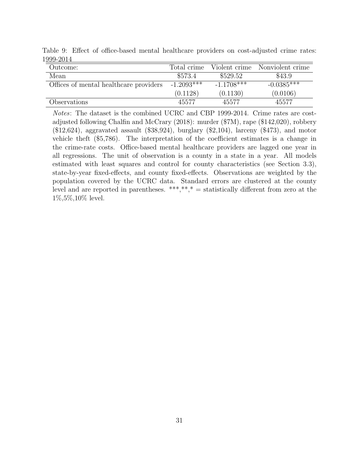| - - - - - - - -                        |              |              |                                |
|----------------------------------------|--------------|--------------|--------------------------------|
| Outcome:                               | Total crime  |              | Violent crime Nonviolent crime |
| Mean                                   | \$573.4      | \$529.52     | \$43.9                         |
| Offices of mental healthcare providers | $-1.2093***$ | $-1.1708***$ | $-0.0385***$                   |
|                                        | (0.1128)     | (0.1130)     | (0.0106)                       |
| Observations                           | 45577        | 45577        | 45577                          |

Table 9: Effect of office-based mental healthcare providers on cost-adjusted crime rates: 1999-2014

Notes: The dataset is the combined UCRC and CBP 1999-2014. Crime rates are costadjusted following Chalfin and McCrary (2018): murder (\$7M), rape (\$142,020), robbery  $($12,624)$ , aggravated assault  $($38,924)$ , burglary  $($2,104)$ , larceny  $($473)$ , and motor vehicle theft (\$5,786). The interpretation of the coefficient estimates is a change in the crime-rate costs. Office-based mental healthcare providers are lagged one year in all regressions. The unit of observation is a county in a state in a year. All models estimated with least squares and control for county characteristics (see Section 3.3), state-by-year fixed-effects, and county fixed-effects. Observations are weighted by the population covered by the UCRC data. Standard errors are clustered at the county level and are reported in parentheses.  $***$ ,  $**$ ,  $*$  = statistically different from zero at the 1%,5%,10% level.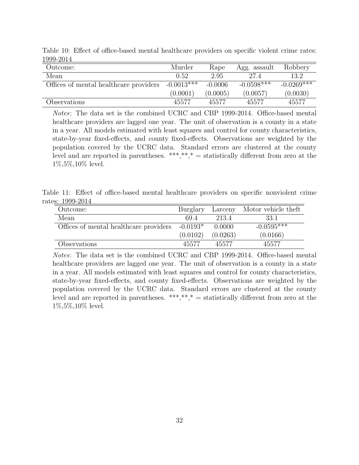| $1000$ multiples                       |              |           |              |              |
|----------------------------------------|--------------|-----------|--------------|--------------|
| Outcome:                               | Murder       | Rape      | Agg. assault | Robbery      |
| Mean                                   | 0.52         | 2.95      | 27.4         | 13.2         |
| Offices of mental healthcare providers | $-0.0013***$ | $-0.0006$ | $-0.0598***$ | $-0.0269***$ |
|                                        | (0.0001)     | (0.0005)  | (0.0057)     | (0.0030)     |
| Observations                           | 45577        | 45577     | 45577        | 45577        |

Table 10: Effect of office-based mental healthcare providers on specific violent crime rates: 1999-2014

Notes: The data set is the combined UCRC and CBP 1999-2014. Office-based mental healthcare providers are lagged one year. The unit of observation is a county in a state in a year. All models estimated with least squares and control for county characteristics, state-by-year fixed-effects, and county fixed-effects. Observations are weighted by the population covered by the UCRC data. Standard errors are clustered at the county level and are reported in parentheses. \*\*\*,\*\*,\* = statistically different from zero at the 1%,5%,10% level.

Table 11: Effect of office-based mental healthcare providers on specific nonviolent crime rates: 1999-2014

| Outcome:                                          | Burglary |          | Larceny Motor vehicle theft |
|---------------------------------------------------|----------|----------|-----------------------------|
| Mean                                              | 69.4     | 213.4    | 33.1                        |
| Offices of mental healthcare providers $-0.0193*$ |          | 0.0000   | $-0.0595***$                |
|                                                   | (0.0102) | (0.0263) | (0.0166)                    |
| Observations                                      | 45577    | 45577    | 45577                       |

Notes: The data set is the combined UCRC and CBP 1999-2014. Office-based mental healthcare providers are lagged one year. The unit of observation is a county in a state in a year. All models estimated with least squares and control for county characteristics, state-by-year fixed-effects, and county fixed-effects. Observations are weighted by the population covered by the UCRC data. Standard errors are clustered at the county level and are reported in parentheses. \*\*\*,\*\*,\* = statistically different from zero at the 1%,5%,10% level.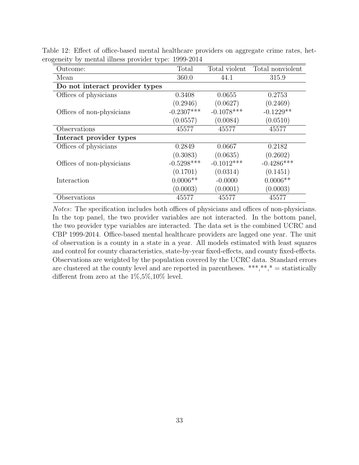| Outcome:                       | Total        | Total violent | Total nonviolent |
|--------------------------------|--------------|---------------|------------------|
| Mean                           | 360.0        | 44.1          | 315.9            |
| Do not interact provider types |              |               |                  |
| Offices of physicians          | 0.3408       | 0.0655        | 0.2753           |
|                                | (0.2946)     | (0.0627)      | (0.2469)         |
| Offices of non-physicians      | $-0.2307***$ | $-0.1078***$  | $-0.1229**$      |
|                                | (0.0557)     | (0.0084)      | (0.0510)         |
| Observations                   | 45577        | 45577         | 45577            |
| Interact provider types        |              |               |                  |
| Offices of physicians          | 0.2849       | 0.0667        | 0.2182           |
|                                | (0.3083)     | (0.0635)      | (0.2602)         |
| Offices of non-physicians      | $-0.5298***$ | $-0.1012***$  | $-0.4286***$     |
|                                | (0.1701)     | (0.0314)      | (0.1451)         |
| Interaction                    | $0.0006**$   | $-0.0000$     | $0.0006**$       |
|                                | (0.0003)     | (0.0001)      | (0.0003)         |
| Observations                   | 45577        | 45577         | 45577            |

Table 12: Effect of office-based mental healthcare providers on aggregate crime rates, heterogeneity by mental illness provider type: 1999-2014

Notes: The specification includes both offices of physicians and offices of non-physicians. In the top panel, the two provider variables are not interacted. In the bottom panel, the two provider type variables are interacted. The data set is the combined UCRC and CBP 1999-2014. Office-based mental healthcare providers are lagged one year. The unit of observation is a county in a state in a year. All models estimated with least squares and control for county characteristics, state-by-year fixed-effects, and county fixed-effects. Observations are weighted by the population covered by the UCRC data. Standard errors are clustered at the county level and are reported in parentheses. \*\*\*,\*\*,\* = statistically different from zero at the  $1\%, 5\%, 10\%$  level.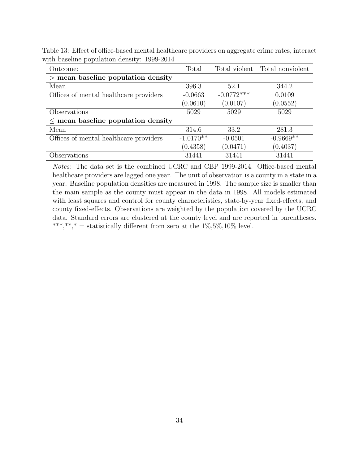Outcome: Total Total violent Total nonviolent > mean baseline population density Mean 396.3 52.1 344.2 Offices of mental healthcare providers -0.0663 -0.0772\*\*\* 0.0109  $(0.0610)$   $(0.0107)$   $(0.0552)$ Observations 5029 5029 5029 ≤ mean baseline population density Mean 314.6 33.2 281.3 Offices of mental healthcare providers  $-1.0170**$   $-0.0501$   $-0.9669**$  $(0.4358)$   $(0.0471)$   $(0.4037)$ Observations 31441 31441 31441 31441

Table 13: Effect of office-based mental healthcare providers on aggregate crime rates, interact with baseline population density: 1999-2014

Notes: The data set is the combined UCRC and CBP 1999-2014. Office-based mental healthcare providers are lagged one year. The unit of observation is a county in a state in a year. Baseline population densities are measured in 1998. The sample size is smaller than the main sample as the county must appear in the data in 1998. All models estimated with least squares and control for county characteristics, state-by-year fixed-effects, and county fixed-effects. Observations are weighted by the population covered by the UCRC data. Standard errors are clustered at the county level and are reported in parentheses. \*\*\*,\*\*,\* = statistically different from zero at the  $1\%, 5\%, 10\%$  level.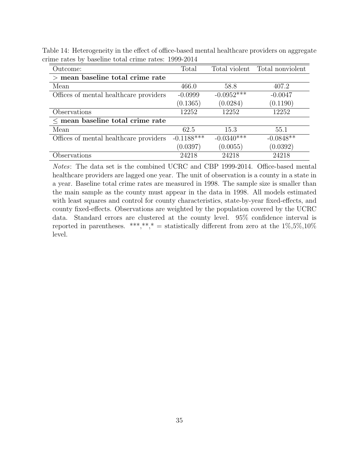| Outcome:                               | Total        |              | Total violent Total nonviolent |
|----------------------------------------|--------------|--------------|--------------------------------|
| $>$ mean baseline total crime rate     |              |              |                                |
| Mean                                   | 466.0        | 58.8         | 407.2                          |
| Offices of mental healthcare providers | $-0.0999$    | $-0.0952***$ | $-0.0047$                      |
|                                        | (0.1365)     | (0.0284)     | (0.1190)                       |
| Observations                           | 12252        | 12252        | 12252                          |
| $\leq$ mean baseline total crime rate  |              |              |                                |
| Mean                                   | 62.5         | 15.3         | 55.1                           |
| Offices of mental healthcare providers | $-0.1188***$ | $-0.0340***$ | $-0.0848**$                    |
|                                        | (0.0397)     | (0.0055)     | (0.0392)                       |
| Observations                           | 24218        | 24218        | 24218                          |

Table 14: Heterogeneity in the effect of office-based mental healthcare providers on aggregate crime rates by baseline total crime rates: 1999-2014

Notes: The data set is the combined UCRC and CBP 1999-2014. Office-based mental healthcare providers are lagged one year. The unit of observation is a county in a state in a year. Baseline total crime rates are measured in 1998. The sample size is smaller than the main sample as the county must appear in the data in 1998. All models estimated with least squares and control for county characteristics, state-by-year fixed-effects, and county fixed-effects. Observations are weighted by the population covered by the UCRC data. Standard errors are clustered at the county level. 95% confidence interval is reported in parentheses. \*\*\*,\*\*,\* = statistically different from zero at the  $1\%, 5\%, 10\%$ level.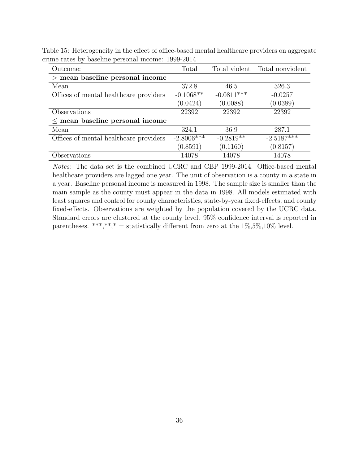| Outcome:                               | Total        |              | Total violent Total nonviolent |
|----------------------------------------|--------------|--------------|--------------------------------|
| $>$ mean baseline personal income      |              |              |                                |
| Mean                                   | 372.8        | 46.5         | 326.3                          |
| Offices of mental healthcare providers | $-0.1068**$  | $-0.0811***$ | $-0.0257$                      |
|                                        | (0.0424)     | (0.0088)     | (0.0389)                       |
| Observations                           | 22392        | 22392        | 22392                          |
| $\leq$ mean baseline personal income   |              |              |                                |
| Mean                                   | 324.1        | 36.9         | 287.1                          |
| Offices of mental healthcare providers | $-2.8006***$ | $-0.2819**$  | $-2.5187***$                   |
|                                        | (0.8591)     | (0.1160)     | (0.8157)                       |
| Observations                           | 14078        | 14078        | 14078                          |

Table 15: Heterogeneity in the effect of office-based mental healthcare providers on aggregate crime rates by baseline personal income: 1999-2014

Notes: The data set is the combined UCRC and CBP 1999-2014. Office-based mental healthcare providers are lagged one year. The unit of observation is a county in a state in a year. Baseline personal income is measured in 1998. The sample size is smaller than the main sample as the county must appear in the data in 1998. All models estimated with least squares and control for county characteristics, state-by-year fixed-effects, and county fixed-effects. Observations are weighted by the population covered by the UCRC data. Standard errors are clustered at the county level. 95% confidence interval is reported in parentheses. \*\*\*,\*\*,\* = statistically different from zero at the  $1\%, 5\%, 10\%$  level.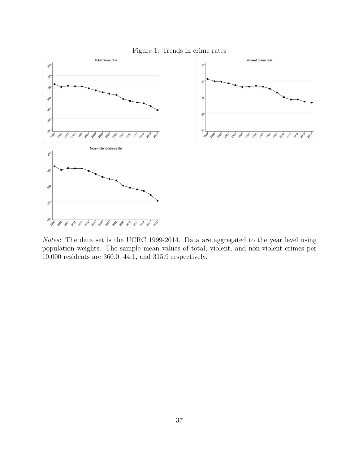

Notes: The data set is the UCRC 1999-2014. Data are aggregated to the year level using population weights. The sample mean values of total, violent, and non-violent crimes per 10,000 residents are 360.0, 44.1, and 315.9 respectively.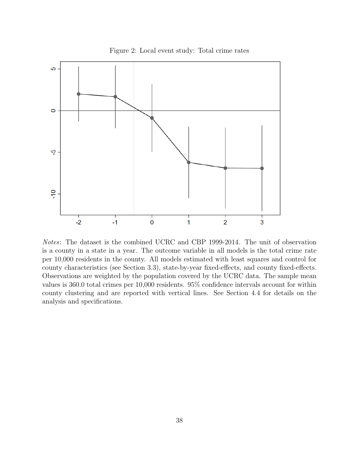

Figure 2: Local event study: Total crime rates

Notes: The dataset is the combined UCRC and CBP 1999-2014. The unit of observation is a county in a state in a year. The outcome variable in all models is the total crime rate per 10,000 residents in the county. All models estimated with least squares and control for county characteristics (see Section 3.3), state-by-year fixed-effects, and county fixed-effects. Observations are weighted by the population covered by the UCRC data. The sample mean values is 360.0 total crimes per 10,000 residents. 95% confidence intervals account for within county clustering and are reported with vertical lines. See Section 4.4 for details on the analysis and specifications.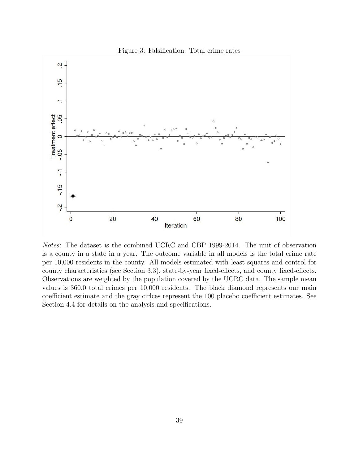

Figure 3: Falsification: Total crime rates

Notes: The dataset is the combined UCRC and CBP 1999-2014. The unit of observation is a county in a state in a year. The outcome variable in all models is the total crime rate per 10,000 residents in the county. All models estimated with least squares and control for county characteristics (see Section 3.3), state-by-year fixed-effects, and county fixed-effects. Observations are weighted by the population covered by the UCRC data. The sample mean values is 360.0 total crimes per 10,000 residents. The black diamond represents our main coefficient estimate and the gray cirlces represent the 100 placebo coefficient estimates. See Section 4.4 for details on the analysis and specifications.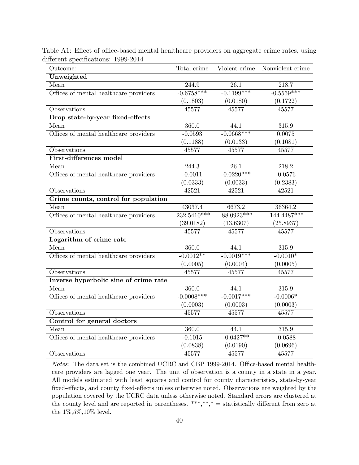| Outcome:                               | Total crime    | Violent crime | Nonviolent crime |
|----------------------------------------|----------------|---------------|------------------|
| Unweighted                             |                |               |                  |
| Mean                                   | 244.9          | 26.1          | 218.7            |
| Offices of mental healthcare providers | $-0.6758***$   | $-0.1199***$  | $-0.5559***$     |
|                                        | (0.1803)       | (0.0180)      | (0.1722)         |
| Observations                           | 45577          | 45577         | 45577            |
| Drop state-by-year fixed-effects       |                |               |                  |
| Mean                                   | 360.0          | 44.1          | 315.9            |
| Offices of mental healthcare providers | $-0.0593$      | $-0.0668***$  | 0.0075           |
|                                        | (0.1188)       | (0.0133)      | (0.1081)         |
| Observations                           | 45577          | 45577         | 45577            |
| First-differences model                |                |               |                  |
| Mean                                   | 244.3          | 26.1          | 218.2            |
| Offices of mental healthcare providers | $-0.0011$      | $-0.0220***$  | $-0.0576$        |
|                                        | (0.0333)       | (0.0033)      | (0.2383)         |
| Observations                           | 42521          | 42521         | 42521            |
| Crime counts, control for population   |                |               |                  |
| Mean                                   | 43037.4        | 6673.2        | 36364.2          |
| Offices of mental healthcare providers | $-232.5410***$ | $-88.0923***$ | $-144.4487***$   |
|                                        | (39.0182)      | (13.6307)     | (25.8937)        |
| Observations                           | 45577          | 45577         | 45577            |
| Logarithm of crime rate                |                |               |                  |
| Mean                                   | 360.0          | 44.1          | 315.9            |
| Offices of mental healthcare providers | $-0.0012**$    | $-0.0019***$  | $-0.0010*$       |
|                                        | (0.0005)       | (0.0004)      | (0.0005)         |
| Observations                           | 45577          | 45577         | 45577            |
| Inverse hyperbolic sine of crime rate  |                |               |                  |
| Mean                                   | 360.0          | 44.1          | 315.9            |
| Offices of mental healthcare providers | $-0.0008***$   | $-0.0017***$  | $-0.0006*$       |
|                                        | (0.0003)       | (0.0003)      | (0.0003)         |
| Observations                           | 45577          | 45577         | 45577            |
| Control for general doctors            |                |               |                  |
| Mean                                   | 360.0          | 44.1          | 315.9            |
| Offices of mental healthcare providers | $-0.1015$      | $-0.0427**$   | $-0.0588$        |
|                                        | (0.0838)       | (0.0190)      | (0.0696)         |
| Observations                           | 45577          | 45577         | 45577            |

Table A1: Effect of office-based mental healthcare providers on aggregate crime rates, using different specifications: 1999-2014

Notes: The data set is the combined UCRC and CBP 1999-2014. Office-based mental healthcare providers are lagged one year. The unit of observation is a county in a state in a year. All models estimated with least squares and control for county characteristics, state-by-year fixed-effects, and county fixed-effects unless otherwise noted. Observations are weighted by the population covered by the UCRC data unless otherwise noted. Standard errors are clustered at the county level and are reported in parentheses. \*\*\*,\*\*,\* = statistically different from zero at the 1%,5%,10% level.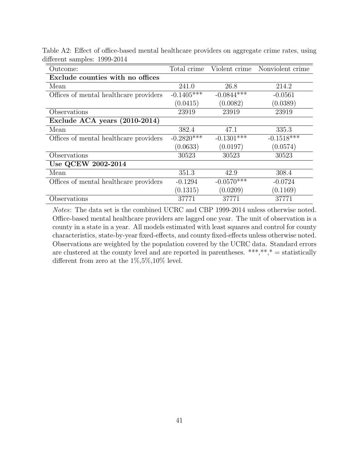| Outcome:                               | Total crime  |              | Violent crime Nonviolent crime |
|----------------------------------------|--------------|--------------|--------------------------------|
| Exclude counties with no offices       |              |              |                                |
| Mean                                   | 241.0        | 26.8         | 214.2                          |
| Offices of mental healthcare providers | $-0.1405***$ | $-0.0844***$ | $-0.0561$                      |
|                                        | (0.0415)     | (0.0082)     | (0.0389)                       |
| Observations                           | 23919        | 23919        | 23919                          |
| Exclude ACA years (2010-2014)          |              |              |                                |
| Mean                                   | 382.4        | 47.1         | 335.3                          |
| Offices of mental healthcare providers | $-0.2820***$ | $-0.1301***$ | $-0.1518***$                   |
|                                        | (0.0633)     | (0.0197)     | (0.0574)                       |
| Observations                           | 30523        | 30523        | 30523                          |
| Use QCEW 2002-2014                     |              |              |                                |
| Mean                                   | 351.3        | 42.9         | 308.4                          |
| Offices of mental healthcare providers | $-0.1294$    | $-0.0570***$ | $-0.0724$                      |
|                                        | (0.1315)     | (0.0209)     | (0.1169)                       |
| Observations                           | 37771        | 37771        | 37771                          |

Table A2: Effect of office-based mental healthcare providers on aggregate crime rates, using different samples: 1999-2014

Notes: The data set is the combined UCRC and CBP 1999-2014 unless otherwise noted. Office-based mental healthcare providers are lagged one year. The unit of observation is a county in a state in a year. All models estimated with least squares and control for county characteristics, state-by-year fixed-effects, and county fixed-effects unless otherwise noted. Observations are weighted by the population covered by the UCRC data. Standard errors are clustered at the county level and are reported in parentheses. \*\*\*,\*\*,\* = statistically different from zero at the  $1\%, 5\%, 10\%$  level.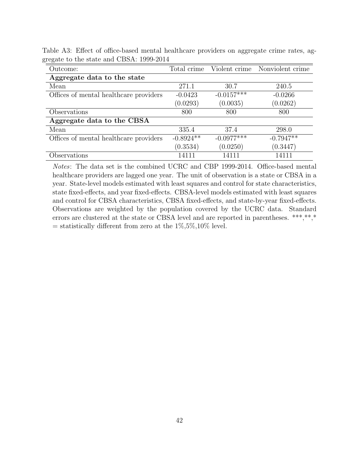| Outcome:                               | Total crime |              | Violent crime Nonviolent crime |
|----------------------------------------|-------------|--------------|--------------------------------|
| Aggregate data to the state            |             |              |                                |
| Mean                                   | 271.1       | 30.7         | 240.5                          |
| Offices of mental healthcare providers | $-0.0423$   | $-0.0157***$ | $-0.0266$                      |
|                                        | (0.0293)    | (0.0035)     | (0.0262)                       |
| Observations                           | 800         | 800          | 800                            |
| Aggregate data to the CBSA             |             |              |                                |
| Mean                                   | 335.4       | 37.4         | 298.0                          |
| Offices of mental healthcare providers | $-0.8924**$ | $-0.0977***$ | $-0.7947**$                    |
|                                        | (0.3534)    | (0.0250)     | (0.3447)                       |
| Observations                           | 14111       | 14111        | 14111                          |

Table A3: Effect of office-based mental healthcare providers on aggregate crime rates, aggregate to the state and CBSA: 1999-2014

Notes: The data set is the combined UCRC and CBP 1999-2014. Office-based mental healthcare providers are lagged one year. The unit of observation is a state or CBSA in a year. State-level models estimated with least squares and control for state characteristics, state fixed-effects, and year fixed-effects. CBSA-level models estimated with least squares and control for CBSA characteristics, CBSA fixed-effects, and state-by-year fixed-effects. Observations are weighted by the population covered by the UCRC data. Standard errors are clustered at the state or CBSA level and are reported in parentheses. \*\*\*,\*\*,\*  $=$  statistically different from zero at the  $1\%, 5\%, 10\%$  level.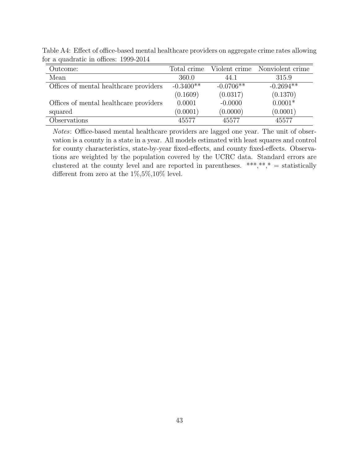| Outcome:                               | Total crime |             | Violent crime Nonviolent crime |
|----------------------------------------|-------------|-------------|--------------------------------|
| Mean                                   | 360.0       | 44.1        | 315.9                          |
| Offices of mental healthcare providers | $-0.3400**$ | $-0.0706**$ | $-0.2694**$                    |
|                                        | (0.1609)    | (0.0317)    | (0.1370)                       |
| Offices of mental healthcare providers | 0.0001      | $-0.0000$   | $0.0001*$                      |
| squared                                | (0.0001)    | (0.0000)    | (0.0001)                       |
| Observations                           | 45577       | 45577       | 45577                          |

Table A4: Effect of office-based mental healthcare providers on aggregate crime rates allowing for a quadratic in offices: 1999-2014

Notes: Office-based mental healthcare providers are lagged one year. The unit of observation is a county in a state in a year. All models estimated with least squares and control for county characteristics, state-by-year fixed-effects, and county fixed-effects. Observations are weighted by the population covered by the UCRC data. Standard errors are clustered at the county level and are reported in parentheses. \*\*\*,\*\*,\* = statistically different from zero at the 1%,5%,10% level.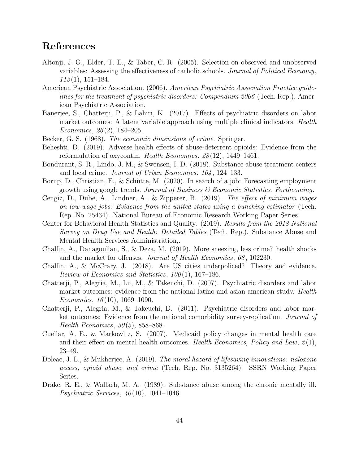# References

- Altonji, J. G., Elder, T. E., & Taber, C. R. (2005). Selection on observed and unobserved variables: Assessing the effectiveness of catholic schools. Journal of Political Economy,  $113(1), 151-184.$
- American Psychiatric Association. (2006). American Psychiatric Association Practice guidelines for the treatment of psychiatric disorders: Compendium 2006 (Tech. Rep.). American Psychiatric Association.
- Banerjee, S., Chatterji, P., & Lahiri, K. (2017). Effects of psychiatric disorders on labor market outcomes: A latent variable approach using multiple clinical indicators. *Health* Economics,  $26(2)$ , 184–205.
- Becker, G. S. (1968). The economic dimensions of crime. Springer.
- Beheshti, D. (2019). Adverse health effects of abuse-deterrent opioids: Evidence from the reformulation of oxycontin. Health Economics, 28 (12), 1449–1461.
- Bondurant, S. R., Lindo, J. M., & Swensen, I. D. (2018). Substance abuse treatment centers and local crime. Journal of Urban Economics, 104 , 124–133.
- Borup, D., Christian, E., & Schütte, M.  $(2020)$ . In search of a job: Forecasting employment growth using google trends. Journal of Business  $\mathcal C$  Economic Statistics, Forthcoming.
- Cengiz, D., Dube, A., Lindner, A., & Zipperer, B. (2019). The effect of minimum wages on low-wage jobs: Evidence from the united states using a bunching estimator (Tech. Rep. No. 25434). National Bureau of Economic Research Working Paper Series.
- Center for Behavioral Health Statistics and Quality. (2019). Results from the 2018 National Survey on Drug Use and Health: Detailed Tables (Tech. Rep.). Substance Abuse and Mental Health Services Administration,.
- Chalfin, A., Danagoulian, S., & Deza, M. (2019). More sneezing, less crime? health shocks and the market for offenses. *Journal of Health Economics*, 68, 102230.
- Chalfin, A., & McCrary, J. (2018). Are US cities underpoliced? Theory and evidence. Review of Economics and Statistics, 100 (1), 167–186.
- Chatterji, P., Alegria, M., Lu, M., & Takeuchi, D. (2007). Psychiatric disorders and labor market outcomes: evidence from the national latino and asian american study. *Health* Economics,  $16(10)$ ,  $1069-1090$ .
- Chatterji, P., Alegria, M., & Takeuchi, D. (2011). Psychiatric disorders and labor market outcomes: Evidence from the national comorbidity survey-replication. Journal of Health Economics,  $30(5)$ , 858–868.
- Cuellar, A. E., & Markowitz, S. (2007). Medicaid policy changes in mental health care and their effect on mental health outcomes. Health Economics, Policy and Law,  $2(1)$ , 23–49.
- Doleac, J. L., & Mukherjee, A. (2019). The moral hazard of lifesaving innovations: naloxone access, opioid abuse, and crime (Tech. Rep. No. 3135264). SSRN Working Paper Series.
- Drake, R. E., & Wallach, M. A. (1989). Substance abuse among the chronic mentally ill. Psychiatric Services,  $40(10)$ , 1041–1046.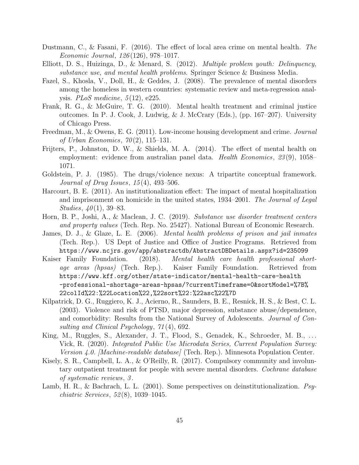- Dustmann, C., & Fasani, F. (2016). The effect of local area crime on mental health. The Economic Journal, 126 (126), 978–1017.
- Elliott, D. S., Huizinga, D., & Menard, S. (2012). Multiple problem youth: Delinquency, substance use, and mental health problems. Springer Science & Business Media.
- Fazel, S., Khosla, V., Doll, H., & Geddes, J. (2008). The prevalence of mental disorders among the homeless in western countries: systematic review and meta-regression analysis. *PLoS* medicine,  $5(12)$ , e225.
- Frank, R. G., & McGuire, T. G. (2010). Mental health treatment and criminal justice outcomes. In P. J. Cook, J. Ludwig, & J. McCrary (Eds.), (pp. 167–207). University of Chicago Press.
- Freedman, M., & Owens, E. G. (2011). Low-income housing development and crime. Journal of Urban Economics,  $70(2)$ , 115–131.
- Frijters, P., Johnston, D. W., & Shields, M. A. (2014). The effect of mental health on employment: evidence from australian panel data. *Health Economics*, 23(9), 1058– 1071.
- Goldstein, P. J. (1985). The drugs/violence nexus: A tripartite conceptual framework. Journal of Drug Issues, 15 (4), 493–506.
- Harcourt, B. E. (2011). An institutionalization effect: The impact of mental hospitalization and imprisonment on homicide in the united states, 1934–2001. The Journal of Legal Studies,  $40(1)$ , 39–83.
- Horn, B. P., Joshi, A., & Maclean, J. C. (2019). Substance use disorder treatment centers and property values (Tech. Rep. No. 25427). National Bureau of Economic Research.
- James, D. J., & Glaze, L. E. (2006). Mental health problems of prison and jail inmates (Tech. Rep.). US Dept of Justice and Office of Justice Programs. Retrieved from https://www.ncjrs.gov/app/abstractdb/AbstractDBDetails.aspx?id=235099
- Kaiser Family Foundation. (2018). Mental health care health professional shortage areas (hpsas) (Tech. Rep.). Kaiser Family Foundation. Retrieved from https://www.kff.org/other/state-indicator/mental-health-care-health -professional-shortage-areas-hpsas/?currentTimeframe=0&sortModel=%7B% 22colId%22:%22Location%22,%22sort%22:%22asc%22%7D
- Kilpatrick, D. G., Ruggiero, K. J., Acierno, R., Saunders, B. E., Resnick, H. S., & Best, C. L. (2003). Violence and risk of PTSD, major depression, substance abuse/dependence, and comorbidity: Results from the National Survey of Adolescents. Journal of Consulting and Clinical Psychology, 71 (4), 692.
- King, M., Ruggles, S., Alexander, J. T., Flood, S., Genadek, K., Schroeder, M. B., ... Vick, R. (2020). Integrated Public Use Microdata Series, Current Population Survey: Version 4.0. [Machine-readable database] (Tech. Rep.). Minnesota Population Center.
- Kisely, S. R., Campbell, L. A., & O'Reilly, R. (2017). Compulsory community and involuntary outpatient treatment for people with severe mental disorders. Cochrane database of systematic reviews, 3 .
- Lamb, H. R., & Bachrach, L. L. (2001). Some perspectives on deinstitutionalization. Psychiatric Services, 52 (8), 1039–1045.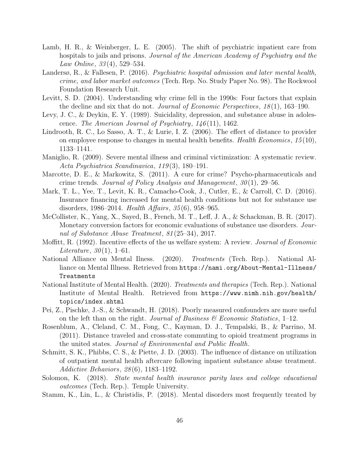- Lamb, H. R., & Weinberger, L. E. (2005). The shift of psychiatric inpatient care from hospitals to jails and prisons. Journal of the American Academy of Psychiatry and the Law Online, 33 (4), 529–534.
- Landersø, R., & Fallesen, P. (2016). Psychiatric hospital admission and later mental health, crime, and labor market outcomes (Tech. Rep. No. Study Paper No. 98). The Rockwool Foundation Research Unit.
- Levitt, S. D. (2004). Understanding why crime fell in the 1990s: Four factors that explain the decline and six that do not. *Journal of Economic Perspectives*,  $18(1)$ , 163–190.
- Levy, J. C., & Deykin, E. Y. (1989). Suicidality, depression, and substance abuse in adolescence. The American Journal of Psychiatry,  $146(11)$ , 1462.
- Lindrooth, R. C., Lo Sasso, A. T., & Lurie, I. Z. (2006). The effect of distance to provider on employee response to changes in mental health benefits. Health Economics,  $15(10)$ , 1133–1141.
- Maniglio, R. (2009). Severe mental illness and criminal victimization: A systematic review. Acta Psychiatrica Scandinavica, 119 (3), 180–191.
- Marcotte, D. E., & Markowitz, S. (2011). A cure for crime? Psycho-pharmaceuticals and crime trends. Journal of Policy Analysis and Management,  $30(1)$ , 29–56.
- Mark, T. L., Yee, T., Levit, K. R., Camacho-Cook, J., Cutler, E., & Carroll, C. D. (2016). Insurance financing increased for mental health conditions but not for substance use disorders, 1986–2014. Health Affairs, 35 (6), 958–965.
- McCollister, K., Yang, X., Sayed, B., French, M. T., Leff, J. A., & Schackman, B. R. (2017). Monetary conversion factors for economic evaluations of substance use disorders. Journal of Substance Abuse Treatment, 81 (25–34), 2017.
- Moffitt, R. (1992). Incentive effects of the us welfare system: A review. *Journal of Economic* Literature,  $30(1)$ , 1–61.
- National Alliance on Mental Ilness. (2020). Treatments (Tech. Rep.). National Alliance on Mental Illness. Retrieved from https://nami.org/About-Mental-Illness/ Treatments
- National Institute of Mental Health. (2020). Treatments and therapies (Tech. Rep.). National Institute of Mental Health. Retrieved from https://www.nimh.nih.gov/health/ topics/index.shtml
- Pei, Z., Pischke, J.-S., & Schwandt, H. (2018). Poorly measured confounders are more useful on the left than on the right. Journal of Business  $\mathscr B$  Economic Statistics, 1–12.
- Rosenblum, A., Cleland, C. M., Fong, C., Kayman, D. J., Tempalski, B., & Parrino, M. (2011). Distance traveled and cross-state commuting to opioid treatment programs in the united states. Journal of Environmental and Public Health.
- Schmitt, S. K., Phibbs, C. S., & Piette, J. D. (2003). The influence of distance on utilization of outpatient mental health aftercare following inpatient substance abuse treatment. Addictive Behaviors, 28 (6), 1183–1192.
- Solomon, K. (2018). State mental health insurance parity laws and college educational outcomes (Tech. Rep.). Temple University.
- Stamm, K., Lin, L., & Christidis, P. (2018). Mental disorders most frequently treated by